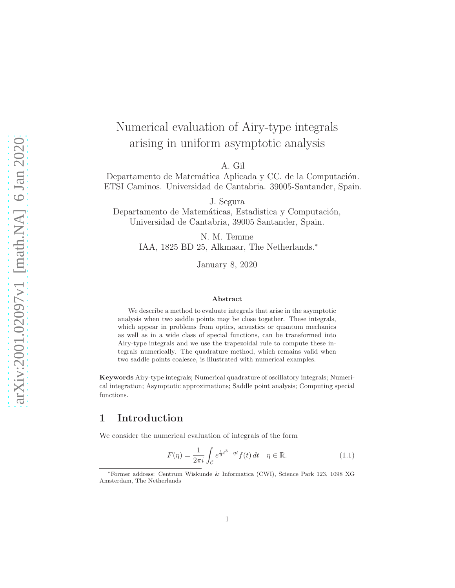# Numerical evaluation of Airy-type integrals arising in uniform asymptotic analysis

A. Gil

Departamento de Matemática Aplicada y CC. de la Computación. ETSI Caminos. Universidad de Cantabria. 39005-Santander, Spain.

J. Segura

Departamento de Matemáticas, Estadistica y Computación, Universidad de Cantabria, 39005 Santander, Spain.

> N. M. Temme IAA, 1825 BD 25, Alkmaar, The Netherlands.<sup>∗</sup>

> > January 8, 2020

#### Abstract

We describe a method to evaluate integrals that arise in the asymptotic analysis when two saddle points may be close together. These integrals, which appear in problems from optics, acoustics or quantum mechanics as well as in a wide class of special functions, can be transformed into Airy-type integrals and we use the trapezoidal rule to compute these integrals numerically. The quadrature method, which remains valid when two saddle points coalesce, is illustrated with numerical examples.

Keywords Airy-type integrals; Numerical quadrature of oscillatory integrals; Numerical integration; Asymptotic approximations; Saddle point analysis; Computing special functions.

# <span id="page-0-1"></span>1 Introduction

We consider the numerical evaluation of integrals of the form

<span id="page-0-0"></span>
$$
F(\eta) = \frac{1}{2\pi i} \int_{\mathcal{C}} e^{\frac{1}{3}t^3 - \eta t} f(t) dt \quad \eta \in \mathbb{R}.
$$
 (1.1)

<sup>∗</sup>Former address: Centrum Wiskunde & Informatica (CWI), Science Park 123, 1098 XG Amsterdam, The Netherlands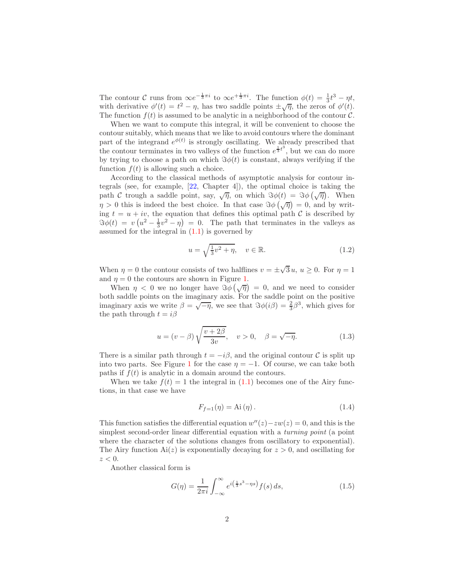The contour C runs from  $\infty e^{-\frac{1}{3}\pi i}$  to  $\infty e^{+\frac{1}{3}\pi i}$ . The function  $\phi(t) = \frac{1}{3}t^3 - \eta t$ , with derivative  $\phi'(t) = t^2 - \eta$ , has two saddle points  $\pm \sqrt{\eta}$ , the zeros of  $\phi'(t)$ . The function  $f(t)$  is assumed to be analytic in a neighborhood of the contour C.

When we want to compute this integral, it will be convenient to choose the contour suitably, which means that we like to avoid contours where the dominant part of the integrand  $e^{\phi(t)}$  is strongly oscillating. We already prescribed that the contour terminates in two valleys of the function  $e^{\frac{1}{3}t^3}$ , but we can do more by trying to choose a path on which  $\Im \phi(t)$  is constant, always verifying if the function  $f(t)$  is allowing such a choice.

According to the classical methods of asymptotic analysis for contour integrals (see, for example, [\[22,](#page-28-0) Chapter 4]), the optimal choice is taking the path C trough a saddle point, say,  $\sqrt{\eta}$ , on which  $\Im \phi(t) = \Im \phi(\sqrt{\eta})$ . When  $\eta > 0$  this is indeed the best choice. In that case  $\Im \phi(\sqrt{\eta}) = 0$ , and by writing  $t = u + iv$ , the equation that defines this optimal path C is described by  $\Im \phi(t) = v(u^2 - \frac{1}{3}v^2 - \eta) = 0.$  The path that terminates in the valleys as assumed for the integral in  $(1.1)$  is governed by

$$
u = \sqrt{\frac{1}{3}v^2 + \eta}, \quad v \in \mathbb{R}.
$$
 (1.2)

When  $\eta = 0$  the contour consists of two halflines  $v = \pm \sqrt{3} u$ ,  $u \ge 0$ . For  $\eta = 1$ and  $\eta = 0$  the contours are shown in Figure [1.](#page-2-0)

When  $\eta < 0$  we no longer have  $\Im \phi(\sqrt{\eta}) = 0$ , and we need to consider both saddle points on the imaginary axis. For the saddle point on the positive imaginary axis we write  $\beta = \sqrt{-\eta}$ , we see that  $\Im \phi(i\beta) = \frac{2}{3}\beta^3$ , which gives for the path through  $t = i\beta$ 

<span id="page-1-1"></span>
$$
u = (v - \beta) \sqrt{\frac{v + 2\beta}{3v}}, \quad v > 0, \quad \beta = \sqrt{-\eta}.
$$
 (1.3)

There is a similar path through  $t = -i\beta$ , and the original contour C is split up into two parts. See Figure [1](#page-2-0) for the case  $\eta = -1$ . Of course, we can take both paths if  $f(t)$  is analytic in a domain around the contours.

When we take  $f(t) = 1$  the integral in [\(1.1\)](#page-0-0) becomes one of the Airy functions, in that case we have

$$
F_{f=1}(\eta) = \text{Ai}(\eta). \tag{1.4}
$$

This function satisfies the differential equation  $w''(z) - zw(z) = 0$ , and this is the simplest second-order linear differential equation with a *turning point* (a point where the character of the solutions changes from oscillatory to exponential). The Airy function  $Ai(z)$  is exponentially decaying for  $z > 0$ , and oscillating for  $z < 0$ .

Another classical form is

<span id="page-1-0"></span>
$$
G(\eta) = \frac{1}{2\pi i} \int_{-\infty}^{\infty} e^{i(\frac{1}{3}s^3 - \eta s)} f(s) \, ds,\tag{1.5}
$$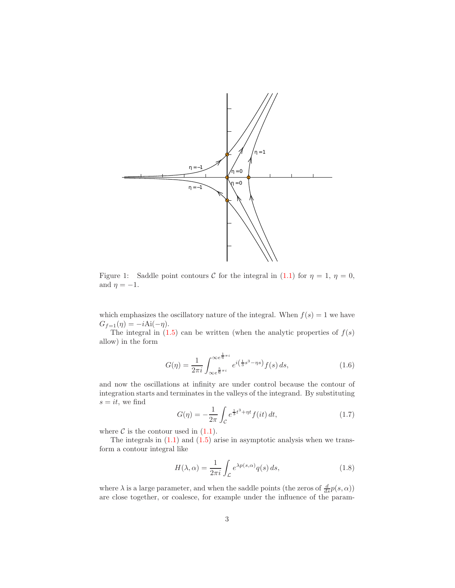

<span id="page-2-0"></span>Figure 1: Saddle point contours C for the integral in [\(1.1\)](#page-0-0) for  $\eta = 1$ ,  $\eta = 0$ , and  $\eta = -1$ .

which emphasizes the oscillatory nature of the integral. When  $f(s) = 1$  we have  $G_{f=1}(\eta) = -iAi(-\eta).$ 

The integral in  $(1.5)$  can be written (when the analytic properties of  $f(s)$ ) allow) in the form

<span id="page-2-2"></span>
$$
G(\eta) = \frac{1}{2\pi i} \int_{\infty e^{\frac{5}{6}\pi i}}^{\infty e^{\frac{1}{6}\pi i}} e^{i(\frac{1}{3}s^3 - \eta s)} f(s) ds,
$$
 (1.6)

and now the oscillations at infinity are under control because the contour of integration starts and terminates in the valleys of the integrand. By substituting  $s = it$ , we find

<span id="page-2-3"></span>
$$
G(\eta) = -\frac{1}{2\pi} \int_{\mathcal{C}} e^{\frac{1}{3}t^3 + \eta t} f(it) dt,
$$
\n(1.7)

where  $\mathcal C$  is the contour used in  $(1.1)$ .

The integrals in  $(1.1)$  and  $(1.5)$  arise in asymptotic analysis when we transform a contour integral like

<span id="page-2-1"></span>
$$
H(\lambda, \alpha) = \frac{1}{2\pi i} \int_{\mathcal{L}} e^{\lambda p(s, \alpha)} q(s) ds,
$$
\n(1.8)

where  $\lambda$  is a large parameter, and when the saddle points (the zeros of  $\frac{d}{ds}p(s,\alpha)$ ) are close together, or coalesce, for example under the influence of the param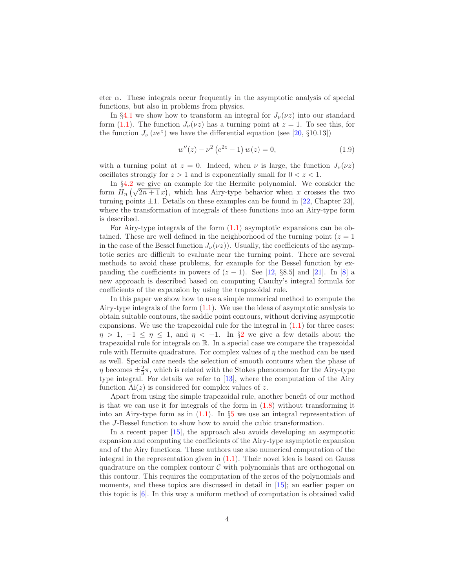eter  $\alpha$ . These integrals occur frequently in the asymptotic analysis of special functions, but also in problems from physics.

In §[4.1](#page-15-0) we show how to transform an integral for  $J_{\nu}(\nu z)$  into our standard form [\(1.1\)](#page-0-0). The function  $J_{\nu}(\nu z)$  has a turning point at  $z = 1$ . To see this, for the function  $J_{\nu}(\nu e^z)$  we have the differential equation (see [\[20,](#page-28-1) §10.13])

$$
w''(z) - \nu^2 \left( e^{2z} - 1 \right) w(z) = 0, \tag{1.9}
$$

with a turning point at  $z = 0$ . Indeed, when  $\nu$  is large, the function  $J_{\nu}(\nu z)$ oscillates strongly for  $z > 1$  and is exponentially small for  $0 < z < 1$ .

In §[4.2](#page-17-0) we give an example for the Hermite polynomial. We consider the form  $H_n(\sqrt{2n+1}x)$ , which has Airy-type behavior when x crosses the two turning points  $\pm 1$ . Details on these examples can be found in [\[22,](#page-28-0) Chapter 23], where the transformation of integrals of these functions into an Airy-type form is described.

For Airy-type integrals of the form  $(1.1)$  asymptotic expansions can be obtained. These are well defined in the neighborhood of the turning point  $(z = 1$ in the case of the Bessel function  $J_{\nu}(\nu z)$ ). Usually, the coefficients of the asymptotic series are difficult to evaluate near the turning point. There are several methods to avoid these problems, for example for the Bessel function by expanding the coefficients in powers of  $(z - 1)$ . See [\[12,](#page-27-0) §8.5] and [\[21\]](#page-28-2). In [\[8\]](#page-27-1) a new approach is described based on computing Cauchy's integral formula for coefficients of the expansion by using the trapezoidal rule.

In this paper we show how to use a simple numerical method to compute the Airy-type integrals of the form  $(1.1)$ . We use the ideas of asymptotic analysis to obtain suitable contours, the saddle point contours, without deriving asymptotic expansions. We use the trapezoidal rule for the integral in  $(1.1)$  for three cases:  $\eta > 1, -1 \leq \eta \leq 1$ , and  $\eta < -1$ . In §[2](#page-4-0) we give a few details about the trapezoidal rule for integrals on R. In a special case we compare the trapezoidal rule with Hermite quadrature. For complex values of  $\eta$  the method can be used as well. Special care needs the selection of smooth contours when the phase of  $\eta$  becomes  $\pm \frac{2}{3}\pi$ , which is related with the Stokes phenomenon for the Airy-type type integral. For details we refer to [\[13\]](#page-27-2), where the computation of the Airy function  $Ai(z)$  is considered for complex values of z.

Apart from using the simple trapezoidal rule, another benefit of our method is that we can use it for integrals of the form in  $(1.8)$  without transforming it into an Airy-type form as in  $(1.1)$ . In §[5](#page-19-0) we use an integral representation of the J-Bessel function to show how to avoid the cubic transformation.

In a recent paper [\[15\]](#page-27-3), the approach also avoids developing an asymptotic expansion and computing the coefficients of the Airy-type asymptotic expansion and of the Airy functions. These authors use also numerical computation of the integral in the representation given in  $(1.1)$ . Their novel idea is based on Gauss quadrature on the complex contour  $\mathcal C$  with polynomials that are orthogonal on this contour. This requires the computation of the zeros of the polynomials and moments, and these topics are discussed in detail in [\[15\]](#page-27-3); an earlier paper on this topic is [\[6\]](#page-27-4). In this way a uniform method of computation is obtained valid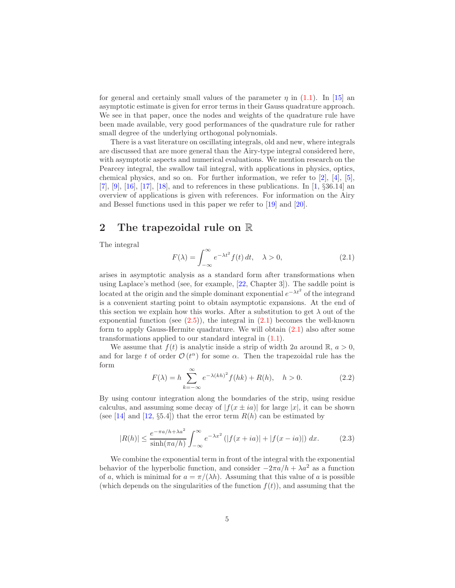for general and certainly small values of the parameter  $\eta$  in [\(1.1\)](#page-0-0). In [\[15\]](#page-27-3) an asymptotic estimate is given for error terms in their Gauss quadrature approach. We see in that paper, once the nodes and weights of the quadrature rule have been made available, very good performances of the quadrature rule for rather small degree of the underlying orthogonal polynomials.

There is a vast literature on oscillating integrals, old and new, where integrals are discussed that are more general than the Airy-type integral considered here, with asymptotic aspects and numerical evaluations. We mention research on the Pearcey integral, the swallow tail integral, with applications in physics, optics, chemical physics, and so on. For further information, we refer to  $[2]$ ,  $[4]$ ,  $[5]$ , [\[7\]](#page-27-6),  $[9]$ ,  $[16]$ ,  $[17]$ ,  $[18]$ , and to references in these publications. In [\[1,](#page-26-2) §36.14] an overview of applications is given with references. For information on the Airy and Bessel functions used in this paper we refer to [\[19\]](#page-28-4) and [\[20\]](#page-28-1).

# <span id="page-4-0"></span>2 The trapezoidal rule on R

The integral

<span id="page-4-1"></span>
$$
F(\lambda) = \int_{-\infty}^{\infty} e^{-\lambda t^2} f(t) dt, \quad \lambda > 0,
$$
\n(2.1)

arises in asymptotic analysis as a standard form after transformations when using Laplace's method (see, for example, [\[22,](#page-28-0) Chapter 3]). The saddle point is located at the origin and the simple dominant exponential  $e^{-\lambda t^2}$  of the integrand is a convenient starting point to obtain asymptotic expansions. At the end of this section we explain how this works. After a substitution to get  $\lambda$  out of the exponential function (see  $(2.5)$ ), the integral in  $(2.1)$  becomes the well-known form to apply Gauss-Hermite quadrature. We will obtain  $(2.1)$  also after some transformations applied to our standard integral in [\(1.1\)](#page-0-0).

We assume that  $f(t)$  is analytic inside a strip of width 2a around  $\mathbb{R}, a > 0$ , and for large t of order  $\mathcal{O}(t^{\alpha})$  for some  $\alpha$ . Then the trapezoidal rule has the form

<span id="page-4-3"></span>
$$
F(\lambda) = h \sum_{k=-\infty}^{\infty} e^{-\lambda(kh)^2} f(hk) + R(h), \quad h > 0.
$$
 (2.2)

By using contour integration along the boundaries of the strip, using residue calculus, and assuming some decay of  $|f(x \pm ia)|$  for large  $|x|$ , it can be shown (see [\[14\]](#page-27-10) and [\[12,](#page-27-0)  $\S 5.4$ ]) that the error term  $R(h)$  can be estimated by

<span id="page-4-2"></span>
$$
|R(h)| \le \frac{e^{-\pi a/h + \lambda a^2}}{\sinh(\pi a/h)} \int_{-\infty}^{\infty} e^{-\lambda x^2} \left( |f(x + ia)| + |f(x - ia)| \right) dx. \tag{2.3}
$$

We combine the exponential term in front of the integral with the exponential behavior of the hyperbolic function, and consider  $-2\pi a/h + \lambda a^2$  as a function of a, which is minimal for  $a = \pi/(\lambda h)$ . Assuming that this value of a is possible (which depends on the singularities of the function  $f(t)$ ), and assuming that the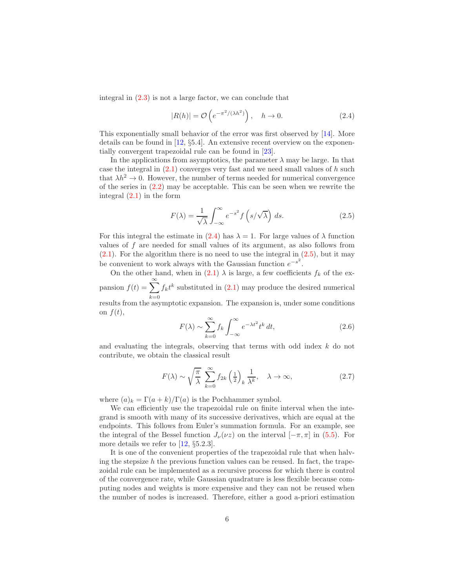integral in  $(2.3)$  is not a large factor, we can conclude that

<span id="page-5-1"></span>
$$
|R(h)| = \mathcal{O}\left(e^{-\pi^2/(\lambda h^2)}\right), \quad h \to 0. \tag{2.4}
$$

This exponentially small behavior of the error was first observed by [\[14\]](#page-27-10). More details can be found in [\[12,](#page-27-0) §5.4]. An extensive recent overview on the exponentially convergent trapezoidal rule can be found in [\[23\]](#page-28-5).

In the applications from asymptotics, the parameter  $\lambda$  may be large. In that case the integral in  $(2.1)$  converges very fast and we need small values of h such that  $\lambda h^2 \to 0$ . However, the number of terms needed for numerical convergence of the series in [\(2.2\)](#page-4-3) may be acceptable. This can be seen when we rewrite the integral [\(2.1\)](#page-4-1) in the form

<span id="page-5-0"></span>
$$
F(\lambda) = \frac{1}{\sqrt{\lambda}} \int_{-\infty}^{\infty} e^{-s^2} f\left(s/\sqrt{\lambda}\right) ds.
$$
 (2.5)

For this integral the estimate in [\(2.4\)](#page-5-1) has  $\lambda = 1$ . For large values of  $\lambda$  function values of  $f$  are needed for small values of its argument, as also follows from  $(2.1)$ . For the algorithm there is no need to use the integral in  $(2.5)$ , but it may be convenient to work always with the Gaussian function  $e^{-s^2}$ .

On the other hand, when in [\(2.1\)](#page-4-1)  $\lambda$  is large, a few coefficients  $f_k$  of the expansion  $f(t) = \sum_{n=0}^{\infty}$  $k=0$  $f_k t^k$  substituted in  $(2.1)$  may produce the desired numerical

results from the asymptotic expansion. The expansion is, under some conditions on  $f(t)$ ,

$$
F(\lambda) \sim \sum_{k=0}^{\infty} f_k \int_{-\infty}^{\infty} e^{-\lambda t^2} t^k dt,
$$
\n(2.6)

and evaluating the integrals, observing that terms with odd index  $k$  do not contribute, we obtain the classical result

$$
F(\lambda) \sim \sqrt{\frac{\pi}{\lambda}} \sum_{k=0}^{\infty} f_{2k} \left(\frac{1}{2}\right)_k \frac{1}{\lambda^k}, \quad \lambda \to \infty,
$$
 (2.7)

where  $(a)_k = \Gamma(a+k)/\Gamma(a)$  is the Pochhammer symbol.

We can efficiently use the trapezoidal rule on finite interval when the integrand is smooth with many of its successive derivatives, which are equal at the endpoints. This follows from Euler's summation formula. For an example, see the integral of the Bessel function  $J_{\nu}(\nu z)$  on the interval  $[-\pi, \pi]$  in [\(5.5\)](#page-20-0). For more details we refer to [\[12,](#page-27-0) §5.2.3].

It is one of the convenient properties of the trapezoidal rule that when halving the stepsize  $h$  the previous function values can be reused. In fact, the trapezoidal rule can be implemented as a recursive process for which there is control of the convergence rate, while Gaussian quadrature is less flexible because computing nodes and weights is more expensive and they can not be reused when the number of nodes is increased. Therefore, either a good a-priori estimation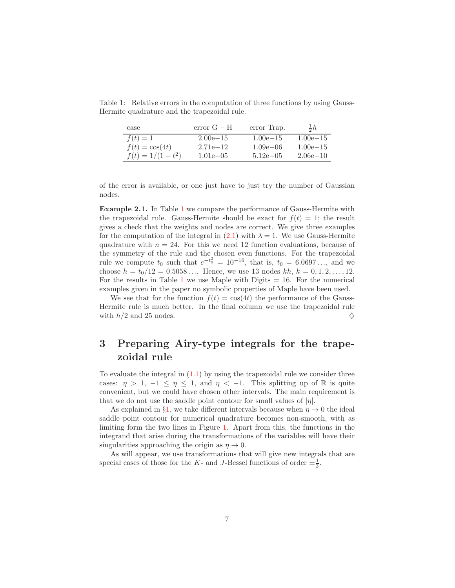<span id="page-6-0"></span>

| case                 | $error G - H$ | error Trap.   | $\frac{1}{2}h$ |
|----------------------|---------------|---------------|----------------|
| $f(t)=1$             | $2.00e - 15$  | $1.00e - 15$  | $1.00e - 15$   |
| $f(t) = \cos(4t)$    | $2.71e-12$    | $1.09e - 06$  | $1.00e - 15$   |
| $f(t) = 1/(1 + t^2)$ | $1.01e - 0.5$ | $5.12e - 0.5$ | $2.06e{-}10$   |

Table 1: Relative errors in the computation of three functions by using Gauss-Hermite quadrature and the trapezoidal rule.

of the error is available, or one just have to just try the number of Gaussian nodes.

Example 2.1. In Table [1](#page-6-0) we compare the performance of Gauss-Hermite with the trapezoidal rule. Gauss-Hermite should be exact for  $f(t) = 1$ ; the result gives a check that the weights and nodes are correct. We give three examples for the computation of the integral in [\(2.1\)](#page-4-1) with  $\lambda = 1$ . We use Gauss-Hermite quadrature with  $n = 24$ . For this we need 12 function evaluations, because of the symmetry of the rule and the chosen even functions. For the trapezoidal rule we compute  $t_0$  such that  $e^{-t_0^2} = 10^{-16}$ , that is,  $t_0 = 6.0697...$ , and we choose  $h = t_0/12 = 0.5058...$  Hence, we use 13 nodes  $kh, k = 0, 1, 2, ..., 12$ . For the results in Table [1](#page-6-0) we use Maple with Digits  $= 16$ . For the numerical examples given in the paper no symbolic properties of Maple have been used.

We see that for the function  $f(t) = \cos(4t)$  the performance of the Gauss-Hermite rule is much better. In the final column we use the trapezoidal rule with  $h/2$  and 25 nodes.

# <span id="page-6-1"></span>3 Preparing Airy-type integrals for the trapezoidal rule

To evaluate the integral in  $(1.1)$  by using the trapezoidal rule we consider three cases:  $\eta > 1$ ,  $-1 \leq \eta \leq 1$ , and  $\eta < -1$ . This splitting up of R is quite convenient, but we could have chosen other intervals. The main requirement is that we do not use the saddle point contour for small values of  $|\eta|$ .

As explained in §[1,](#page-0-1) we take different intervals because when  $\eta \to 0$  the ideal saddle point contour for numerical quadrature becomes non-smooth, with as limiting form the two lines in Figure [1.](#page-2-0) Apart from this, the functions in the integrand that arise during the transformations of the variables will have their singularities approaching the origin as  $\eta \to 0$ .

As will appear, we use transformations that will give new integrals that are special cases of those for the K- and J-Bessel functions of order  $\pm \frac{1}{3}$ .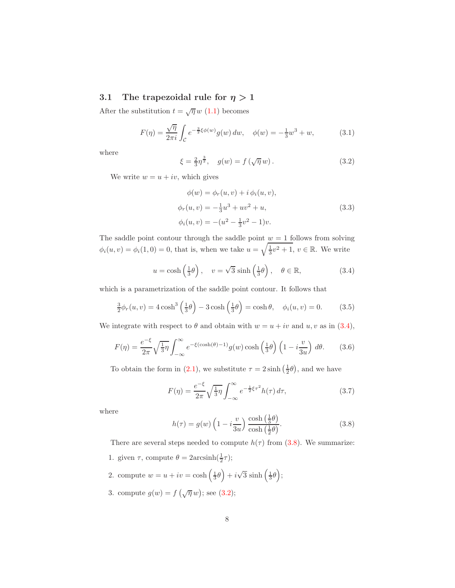#### <span id="page-7-6"></span>3.1 The trapezoidal rule for  $\eta > 1$

After the substitution  $t = \sqrt{\eta} w$  [\(1.1\)](#page-0-0) becomes

<span id="page-7-5"></span>
$$
F(\eta) = \frac{\sqrt{\eta}}{2\pi i} \int_{\mathcal{C}} e^{-\frac{3}{2}\xi\phi(w)} g(w) \, dw, \quad \phi(w) = -\frac{1}{3}w^3 + w,\tag{3.1}
$$

where

<span id="page-7-2"></span>
$$
\xi = \frac{2}{3}\eta^{\frac{3}{2}}, \quad g(w) = f(\sqrt{\eta} w). \tag{3.2}
$$

We write  $w = u + iv$ , which gives

$$
\phi(w) = \phi_r(u, v) + i \phi_i(u, v),
$$
  
\n
$$
\phi_r(u, v) = -\frac{1}{3}u^3 + uv^2 + u,
$$
  
\n
$$
\phi_i(u, v) = -(u^2 - \frac{1}{3}v^2 - 1)v.
$$
\n(3.3)

The saddle point contour through the saddle point  $w = 1$  follows from solving  $\phi_i(u, v) = \phi_i(1, 0) = 0$ , that is, when we take  $u = \sqrt{\frac{1}{3}v^2 + 1}$ ,  $v \in \mathbb{R}$ . We write

<span id="page-7-0"></span>
$$
u = \cosh\left(\frac{1}{3}\theta\right), \quad v = \sqrt{3} \sinh\left(\frac{1}{3}\theta\right), \quad \theta \in \mathbb{R},
$$
 (3.4)

which is a parametrization of the saddle point contour. It follows that

$$
\frac{3}{2}\phi_r(u,v) = 4\cosh^3\left(\frac{1}{3}\theta\right) - 3\cosh\left(\frac{1}{3}\theta\right) = \cosh\theta, \quad \phi_i(u,v) = 0. \tag{3.5}
$$

We integrate with respect to  $\theta$  and obtain with  $w = u + iv$  and  $u, v$  as in [\(3.4\)](#page-7-0),

<span id="page-7-3"></span>
$$
F(\eta) = \frac{e^{-\xi}}{2\pi} \sqrt{\frac{1}{3}} \eta \int_{-\infty}^{\infty} e^{-\xi(\cosh(\theta) - 1)} g(w) \cosh\left(\frac{1}{3}\theta\right) \left(1 - i\frac{v}{3u}\right) d\theta. \tag{3.6}
$$

To obtain the form in [\(2.1\)](#page-4-1), we substitute  $\tau = 2 \sinh(\frac{1}{2}\theta)$ , and we have

<span id="page-7-4"></span>
$$
F(\eta) = \frac{e^{-\xi}}{2\pi} \sqrt{\frac{1}{3}\eta} \int_{-\infty}^{\infty} e^{-\frac{1}{2}\xi\tau^2} h(\tau) d\tau,
$$
 (3.7)

where

<span id="page-7-1"></span>
$$
h(\tau) = g(w) \left( 1 - i \frac{v}{3u} \right) \frac{\cosh\left(\frac{1}{3}\theta\right)}{\cosh\left(\frac{1}{2}\theta\right)}.
$$
 (3.8)

There are several steps needed to compute  $h(\tau)$  from [\(3.8\)](#page-7-1). We summarize: 1. given  $\tau$ , compute  $\theta = 2 \arcsinh(\frac{1}{2}\tau);$ 

- 2. compute  $w = u + iv = \cosh\left(\frac{1}{3}\theta\right) + i\sqrt{3} \sinh\left(\frac{1}{3}\theta\right);$
- 3. compute  $g(w) = f(\sqrt{\eta} w)$ ; see [\(3.2\)](#page-7-2);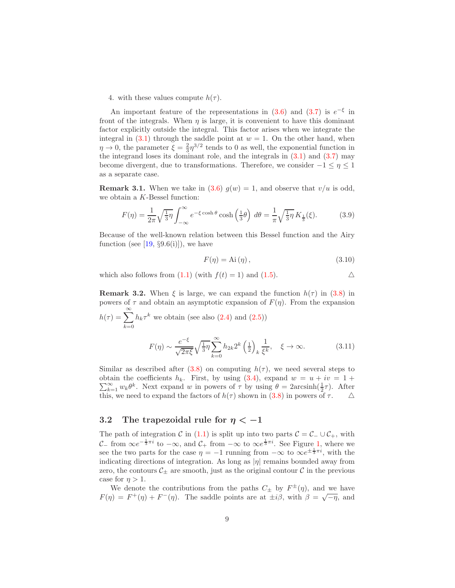4. with these values compute  $h(\tau)$ .

An important feature of the representations in  $(3.6)$  and  $(3.7)$  is  $e^{-\xi}$  in front of the integrals. When  $\eta$  is large, it is convenient to have this dominant factor explicitly outside the integral. This factor arises when we integrate the integral in  $(3.1)$  through the saddle point at  $w = 1$ . On the other hand, when  $\eta \to 0$ , the parameter  $\xi = \frac{2}{3} \eta^{3/2}$  tends to 0 as well, the exponential function in the integrand loses its dominant role, and the integrals in  $(3.1)$  and  $(3.7)$  may become divergent, due to transformations. Therefore, we consider  $-1 \leq \eta \leq 1$ as a separate case.

<span id="page-8-0"></span>**Remark 3.1.** When we take in [\(3.6\)](#page-7-3)  $g(w) = 1$ , and observe that  $v/u$  is odd, we obtain a K-Bessel function:

$$
F(\eta) = \frac{1}{2\pi} \sqrt{\frac{1}{3}} \eta \int_{-\infty}^{\infty} e^{-\xi \cosh \theta} \cosh\left(\frac{1}{3}\theta\right) d\theta = \frac{1}{\pi} \sqrt{\frac{1}{3}} \eta K_{\frac{1}{3}}(\xi). \tag{3.9}
$$

Because of the well-known relation between this Bessel function and the Airy function (see [\[19,](#page-28-4)  $\S 9.6(i)$ ]), we have

$$
F(\eta) = \text{Ai}(\eta),\tag{3.10}
$$

which also follows from  $(1.1)$  (with  $f(t) = 1$ ) and  $(1.5)$ .

**Remark 3.2.** When  $\xi$  is large, we can expand the function  $h(\tau)$  in [\(3.8\)](#page-7-1) in powers of  $\tau$  and obtain an asymptotic expansion of  $F(\eta)$ . From the expansion  $h(\tau) = \sum_{n=0}^{\infty}$  $k=0$  $h_k \tau^k$  we obtain (see also  $(2.4)$  and  $(2.5)$ )

$$
F(\eta) \sim \frac{e^{-\xi}}{\sqrt{2\pi\xi}} \sqrt{\frac{1}{3}} \eta \sum_{k=0}^{\infty} h_{2k} 2^k \left(\frac{1}{2}\right)_k \frac{1}{\xi^k}, \quad \xi \to \infty.
$$
 (3.11)

Similar as described after [\(3.8\)](#page-7-1) on computing  $h(\tau)$ , we need several steps to  $\sum_{k=1}^{\infty} w_k \theta^k$ . Next expand w in powers of  $\tau$  by using  $\theta = 2 \arcsinh(\frac{1}{2}\tau)$ . After obtain the coefficients  $h_k$ . First, by using [\(3.4\)](#page-7-0), expand  $w = u + iv = 1 +$ this, we need to expand the factors of  $h(\tau)$  shown in [\(3.8\)](#page-7-1) in powers of  $\tau$ .  $\Delta$ 

#### 3.2 The trapezoidal rule for  $\eta < -1$

The path of integration C in [\(1.1\)](#page-0-0) is split up into two parts  $C = C_-\cup C_+$ , with C– from  $\infty e^{-\frac{1}{3}\pi i}$  to  $-\infty$ , and C<sub>+</sub> from  $-\infty$  to  $\infty e^{\frac{1}{3}\pi i}$ . See Figure [1,](#page-2-0) where we see the two parts for the case  $\eta = -1$  running from  $-\infty$  to  $\infty e^{\pm \frac{1}{3}\pi i}$ , with the indicating directions of integration. As long as  $|\eta|$  remains bounded away from zero, the contours  $\mathcal{C}_\pm$  are smooth, just as the original contour  $\mathcal C$  in the previous case for  $\eta > 1$ .

We denote the contributions from the paths  $C_{\pm}$  by  $F^{\pm}(\eta)$ , and we have  $F(\eta) = F^+(\eta) + F^-(\eta)$ . The saddle points are at  $\pm i\beta$ , with  $\beta = \sqrt{-\eta}$ , and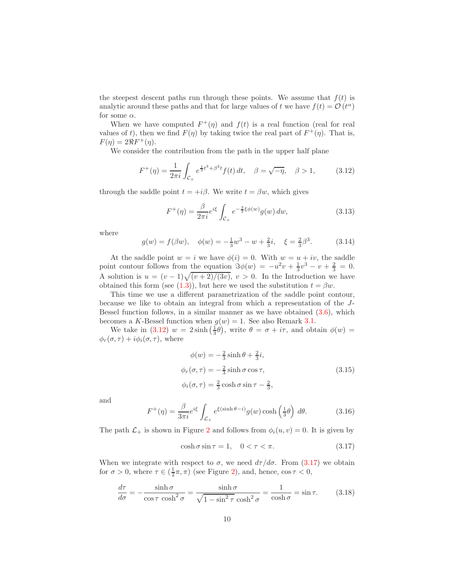the steepest descent paths run through these points. We assume that  $f(t)$  is analytic around these paths and that for large values of t we have  $f(t) = \mathcal{O}(t^{\alpha})$ for some  $\alpha.$ 

When we have computed  $F^+(\eta)$  and  $f(t)$  is a real function (real for real values of t), then we find  $F(\eta)$  by taking twice the real part of  $F^+(\eta)$ . That is,  $F(\eta) = 2\Re F^+(\eta).$ 

We consider the contribution from the path in the upper half plane

<span id="page-9-0"></span>
$$
F^{+}(\eta) = \frac{1}{2\pi i} \int_{\mathcal{C}_{+}} e^{\frac{1}{3}t^{3} + \beta^{2}t} f(t) dt, \quad \beta = \sqrt{-\eta}, \quad \beta > 1,
$$
 (3.12)

through the saddle point  $t = +i\beta$ . We write  $t = \beta w$ , which gives

$$
F^{+}(\eta) = \frac{\beta}{2\pi i} e^{i\xi} \int_{\mathcal{C}_{+}} e^{-\frac{3}{2}\xi\phi(w)} g(w) \, dw,
$$
\n(3.13)

where

$$
g(w) = f(\beta w), \quad \phi(w) = -\frac{1}{3}w^3 - w + \frac{2}{3}i, \quad \xi = \frac{2}{3}\beta^3. \tag{3.14}
$$

At the saddle point  $w = i$  we have  $\phi(i) = 0$ . With  $w = u + iv$ , the saddle point contour follows from the equation  $\Im \phi(w) = -u^2v + \frac{1}{3}v^3 - v + \frac{2}{3} = 0.$ A solution is  $u = (v-1)\sqrt{(v+2)/(3v)}$ ,  $v > 0$ . In the Introduction we have obtained this form (see [\(1.3\)](#page-1-1)), but here we used the substitution  $t = \beta w$ .

This time we use a different parametrization of the saddle point contour, because we like to obtain an integral from which a representation of the J-Bessel function follows, in a similar manner as we have obtained  $(3.6)$ , which becomes a K-Bessel function when  $g(w) = 1$ . See also Remark [3.1.](#page-8-0)

We take in [\(3.12\)](#page-9-0)  $w = 2 \sinh(\frac{1}{3}\theta)$ , write  $\theta = \sigma + i\tau$ , and obtain  $\phi(w) =$  $\phi_r(\sigma, \tau) + i\phi_i(\sigma, \tau)$ , where

$$
\phi(w) = -\frac{2}{3}\sinh\theta + \frac{2}{3}i,
$$
  
\n
$$
\phi_r(\sigma, \tau) = -\frac{2}{3}\sinh\sigma\cos\tau,
$$
  
\n
$$
\phi_i(\sigma, \tau) = \frac{2}{3}\cosh\sigma\sin\tau - \frac{2}{3},
$$
\n(3.15)

and

<span id="page-9-2"></span>
$$
F^{+}(\eta) = \frac{\beta}{3\pi i} e^{i\xi} \int_{\mathcal{L}_{+}} e^{\xi(\sinh\theta - i)} g(w) \cosh\left(\frac{1}{3}\theta\right) d\theta.
$$
 (3.16)

The path  $\mathcal{L}_+$  is shown in Figure [2](#page-10-0) and follows from  $\phi_i(u, v) = 0$ . It is given by

<span id="page-9-1"></span>
$$
\cosh \sigma \sin \tau = 1, \quad 0 < \tau < \pi. \tag{3.17}
$$

When we integrate with respect to  $\sigma$ , we need  $d\tau/d\sigma$ . From [\(3.17\)](#page-9-1) we obtain for  $\sigma > 0$ , where  $\tau \in (\frac{1}{2}\pi, \pi)$  (see Figure [2\)](#page-10-0), and, hence,  $\cos \tau < 0$ ,

$$
\frac{d\tau}{d\sigma} = -\frac{\sinh \sigma}{\cos \tau \cosh^2 \sigma} = \frac{\sinh \sigma}{\sqrt{1 - \sin^2 \tau} \cosh^2 \sigma} = \frac{1}{\cosh \sigma} = \sin \tau. \tag{3.18}
$$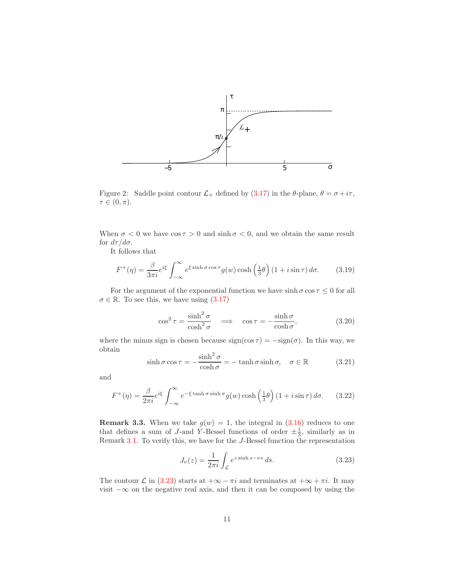

<span id="page-10-0"></span>Figure 2: Saddle point contour  $\mathcal{L}_+$  defined by [\(3.17\)](#page-9-1) in the  $\theta$ -plane,  $\theta = \sigma + i\tau$ ,  $\tau \in (0, \pi)$ .

When  $\sigma < 0$  we have  $\cos \tau > 0$  and  $\sinh \sigma < 0$ , and we obtain the same result for  $d\tau/d\sigma$ .

It follows that

$$
F^{+}(\eta) = \frac{\beta}{3\pi i} e^{i\xi} \int_{-\infty}^{\infty} e^{\xi \sinh \sigma \cos \tau} g(w) \cosh\left(\frac{1}{3}\theta\right) (1 + i \sin \tau) d\sigma.
$$
 (3.19)

For the argument of the exponential function we have  $\sinh \sigma \cos \tau \leq 0$  for all  $\sigma \in \mathbb{R}$ . To see this, we have using  $(3.17)$ 

$$
\cos^2 \tau = \frac{\sinh^2 \sigma}{\cosh^2 \sigma} \quad \Longrightarrow \quad \cos \tau = -\frac{\sinh \sigma}{\cosh \sigma},\tag{3.20}
$$

where the minus sign is chosen because  $sign(cos \tau) = -sign(\sigma)$ . In this way, we obtain

$$
\sinh \sigma \cos \tau = -\frac{\sinh^2 \sigma}{\cosh \sigma} = -\tanh \sigma \sinh \sigma, \quad \sigma \in \mathbb{R} \tag{3.21}
$$

and

<span id="page-10-2"></span>
$$
F^{+}(\eta) = \frac{\beta}{2\pi i} e^{i\xi} \int_{-\infty}^{\infty} e^{-\xi \tanh \sigma \sinh \sigma} g(w) \cosh\left(\frac{1}{3}\theta\right) (1 + i \sin \tau) d\sigma.
$$
 (3.22)

**Remark 3.3.** When we take  $g(w) = 1$ , the integral in  $(3.16)$  reduces to one that defines a sum of J-and Y-Bessel functions of order  $\pm \frac{1}{3}$ , similarly as in Remark [3.1.](#page-8-0) To verify this, we have for the J-Bessel function the representation

<span id="page-10-1"></span>
$$
J_{\nu}(z) = \frac{1}{2\pi i} \int_{\mathcal{L}} e^{z \sinh s - \nu s} ds.
$$
 (3.23)

The contour  $\mathcal L$  in [\(3.23\)](#page-10-1) starts at  $+\infty - \pi i$  and terminates at  $+\infty + \pi i$ . It may visit  $-\infty$  on the negative real axis, and then it can be composed by using the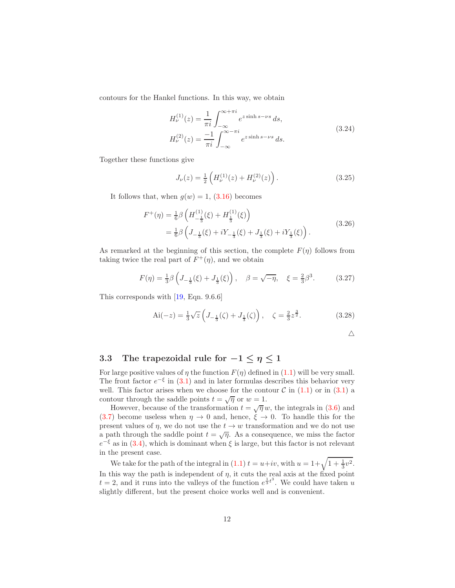contours for the Hankel functions. In this way, we obtain

<span id="page-11-1"></span>
$$
H_{\nu}^{(1)}(z) = \frac{1}{\pi i} \int_{-\infty}^{\infty + \pi i} e^{z \sinh s - \nu s} ds,
$$
  
\n
$$
H_{\nu}^{(2)}(z) = \frac{-1}{\pi i} \int_{-\infty}^{\infty - \pi i} e^{z \sinh s - \nu s} ds.
$$
\n(3.24)

Together these functions give

$$
J_{\nu}(z) = \frac{1}{2} \left( H_{\nu}^{(1)}(z) + H_{\nu}^{(2)}(z) \right). \tag{3.25}
$$

It follows that, when  $g(w) = 1$ , [\(3.16\)](#page-9-2) becomes

$$
F^{+}(\eta) = \frac{1}{6}\beta \left( H_{-\frac{1}{3}}^{(1)}(\xi) + H_{\frac{1}{3}}^{(1)}(\xi) \right)
$$
  
=  $\frac{1}{6}\beta \left( J_{-\frac{1}{3}}(\xi) + iY_{-\frac{1}{3}}(\xi) + J_{\frac{1}{3}}(\xi) + iY_{\frac{1}{3}}(\xi) \right).$  (3.26)

As remarked at the beginning of this section, the complete  $F(\eta)$  follows from taking twice the real part of  $F^+(\eta)$ , and we obtain

$$
F(\eta) = \frac{1}{3}\beta \left( J_{-\frac{1}{3}}(\xi) + J_{\frac{1}{3}}(\xi) \right), \quad \beta = \sqrt{-\eta}, \quad \xi = \frac{2}{3}\beta^3. \tag{3.27}
$$

This corresponds with [\[19,](#page-28-4) Eqn. 9.6.6]

$$
\text{Ai}(-z) = \frac{1}{3}\sqrt{z}\left(J_{-\frac{1}{3}}(\zeta) + J_{\frac{1}{3}}(\zeta)\right), \quad \zeta = \frac{2}{3}z^{\frac{3}{2}}.
$$
 (3.28)

 $\triangle$ 

#### <span id="page-11-0"></span>3.3 The trapezoidal rule for  $-1 \leq \eta \leq 1$

For large positive values of  $\eta$  the function  $F(\eta)$  defined in [\(1.1\)](#page-0-0) will be very small. The front factor  $e^{-\xi}$  in [\(3.1\)](#page-7-5) and in later formulas describes this behavior very well. This factor arises when we choose for the contour  $\mathcal C$  in  $(1.1)$  or in  $(3.1)$  a contour through the saddle points  $t = \sqrt{\eta}$  or  $w = 1$ .

However, because of the transformation  $t = \sqrt{\eta} w$ , the integrals in [\(3.6\)](#page-7-3) and [\(3.7\)](#page-7-4) become useless when  $\eta \to 0$  and, hence,  $\xi \to 0$ . To handle this for the present values of  $\eta$ , we do not use the  $t \to w$  transformation and we do not use a path through the saddle point  $t = \sqrt{\eta}$ . As a consequence, we miss the factor  $e^{-\xi}$  as in [\(3.4\)](#page-7-0), which is dominant when  $\xi$  is large, but this factor is not relevant in the present case.

We take for the path of the integral in [\(1.1\)](#page-0-0)  $t = u + iv$ , with  $u = 1 + \sqrt{1 + \frac{1}{3}v^2}$ . In this way the path is independent of  $\eta$ , it cuts the real axis at the fixed point  $t = 2$ , and it runs into the valleys of the function  $e^{\frac{1}{3}t^3}$ . We could have taken u slightly different, but the present choice works well and is convenient.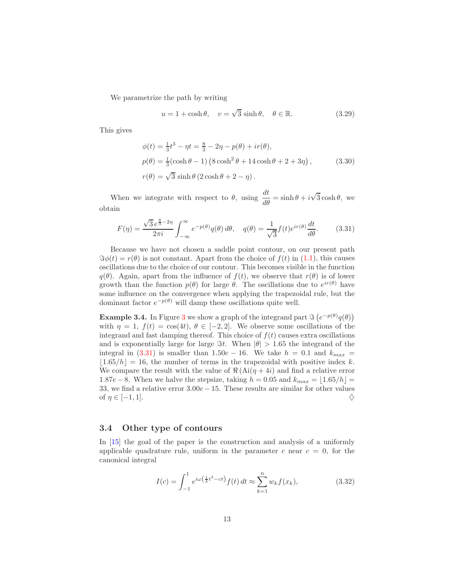We parametrize the path by writing

$$
u = 1 + \cosh \theta, \quad v = \sqrt{3} \sinh \theta, \quad \theta \in \mathbb{R}.
$$
 (3.29)

This gives

<span id="page-12-2"></span>
$$
\phi(t) = \frac{1}{3}t^3 - \eta t = \frac{8}{3} - 2\eta - p(\theta) + ir(\theta),\np(\theta) = \frac{1}{3}(\cosh\theta - 1) (8\cosh^2\theta + 14\cosh\theta + 2 + 3\eta),
$$
\n(3.30)  
\n
$$
r(\theta) = \sqrt{3}\sinh\theta (2\cosh\theta + 2 - \eta).
$$

When we integrate with respect to  $\theta$ , using  $\frac{dt}{d\theta} = \sinh \theta + i\sqrt{3} \cosh \theta$ , we obtain

<span id="page-12-0"></span>
$$
F(\eta) = \frac{\sqrt{3}e^{\frac{8}{3}-2\eta}}{2\pi i} \int_{-\infty}^{\infty} e^{-p(\theta)}q(\theta) d\theta, \quad q(\theta) = \frac{1}{\sqrt{3}}f(t)e^{ir(\theta)}\frac{dt}{d\theta}.
$$
 (3.31)

Because we have not chosen a saddle point contour, on our present path  $\Im \phi(t) = r(\theta)$  is not constant. Apart from the choice of  $f(t)$  in [\(1.1\)](#page-0-0), this causes oscillations due to the choice of our contour. This becomes visible in the function  $q(\theta)$ . Again, apart from the influence of  $f(t)$ , we observe that  $r(\theta)$  is of lower growth than the function  $p(\theta)$  for large  $\theta$ . The oscillations due to  $e^{ir(\theta)}$  have some influence on the convergence when applying the trapezoidal rule, but the dominant factor  $e^{-p(\theta)}$  will damp these oscillations quite well.

**Example [3](#page-13-0).4.** In Figure 3 we show a graph of the integrand part  $\Im(e^{-p(\theta)}q(\theta))$ with  $\eta = 1$ ,  $f(t) = \cos(4t)$ ,  $\theta \in [-2, 2]$ . We observe some oscillations of the integrand and fast damping thereof. This choice of  $f(t)$  causes extra oscillations and is exponentially large for large  $\Im t$ . When  $|\theta| > 1.65$  the integrand of the integral in [\(3.31\)](#page-12-0) is smaller than  $1.50e - 16$ . We take  $h = 0.1$  and  $k_{max} =$  $|1.65/h| = 16$ , the number of terms in the trapezoidal with positive index k. We compare the result with the value of  $\Re(\text{Ai}(\eta + 4i))$  and find a relative error  $1.87e - 8$ . When we halve the stepsize, taking  $h = 0.05$  and  $k_{max} = |1.65/h|$ 33, we find a relative error 3.00e − 15. These results are similar for other values of  $\eta \in [-1, 1]$ . of  $\eta \in [-1, 1]$ .

#### 3.4 Other type of contours

In [\[15\]](#page-27-3) the goal of the paper is the construction and analysis of a uniformly applicable quadrature rule, uniform in the parameter c near  $c = 0$ , for the canonical integral

<span id="page-12-1"></span>
$$
I(c) = \int_{-1}^{1} e^{i\omega(\frac{1}{3}t^3 - ct)} f(t) dt \approx \sum_{k=1}^{n} w_k f(x_k),
$$
 (3.32)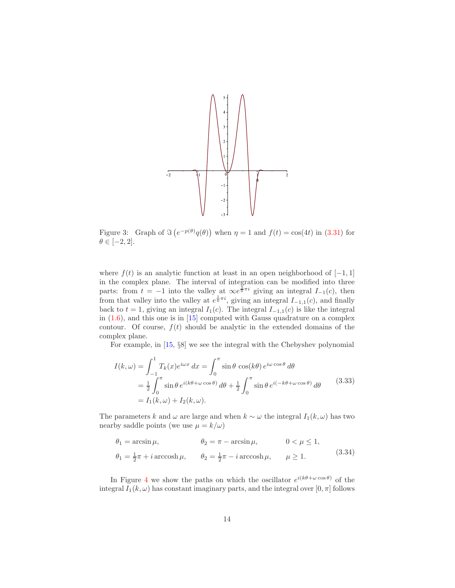

<span id="page-13-0"></span>Figure 3: Graph of  $\Im(e^{-p(\theta)}q(\theta))$  when  $\eta = 1$  and  $f(t) = \cos(4t)$  in [\(3.31\)](#page-12-0) for  $\theta \in [-2,2].$ 

where  $f(t)$  is an analytic function at least in an open neighborhood of [−1, 1] in the complex plane. The interval of integration can be modified into three parts: from  $t = -1$  into the valley at  $\infty e^{\frac{5}{6}\pi i}$  giving an integral  $I_{-1}(c)$ , then from that valley into the valley at  $e^{\frac{1}{6}\pi i}$ , giving an integral  $I_{-1,1}(c)$ , and finally back to  $t = 1$ , giving an integral  $I_1(c)$ . The integral  $I_{-1,1}(c)$  is like the integral in [\(1.6\)](#page-2-2), and this one is in [\[15\]](#page-27-3) computed with Gauss quadrature on a complex contour. Of course,  $f(t)$  should be analytic in the extended domains of the complex plane.

For example, in [\[15,](#page-27-3) §8] we see the integral with the Chebyshev polynomial

<span id="page-13-1"></span>
$$
I(k,\omega) = \int_{-1}^{1} T_k(x)e^{i\omega x} dx = \int_{0}^{\pi} \sin \theta \cos(k\theta) e^{i\omega \cos \theta} d\theta
$$
  

$$
= \frac{1}{2} \int_{0}^{\pi} \sin \theta e^{i(k\theta + \omega \cos \theta)} d\theta + \frac{1}{2} \int_{0}^{\pi} \sin \theta e^{i(-k\theta + \omega \cos \theta)} d\theta
$$
(3.33)  

$$
= I_1(k,\omega) + I_2(k,\omega).
$$

The parameters k and  $\omega$  are large and when  $k \sim \omega$  the integral  $I_1(k, \omega)$  has two nearby saddle points (we use  $\mu = k/\omega$ )

$$
\theta_1 = \arcsin \mu, \qquad \theta_2 = \pi - \arcsin \mu, \qquad 0 < \mu \le 1,
$$
  

$$
\theta_1 = \frac{1}{2}\pi + i \arccosh \mu, \qquad \theta_2 = \frac{1}{2}\pi - i \arccosh \mu, \qquad \mu \ge 1.
$$
 (3.34)

In Figure [4](#page-14-0) we show the paths on which the oscillator  $e^{i(k\theta + \omega \cos \theta)}$  of the integral  $I_1(k,\omega)$  has constant imaginary parts, and the integral over  $[0,\pi]$  follows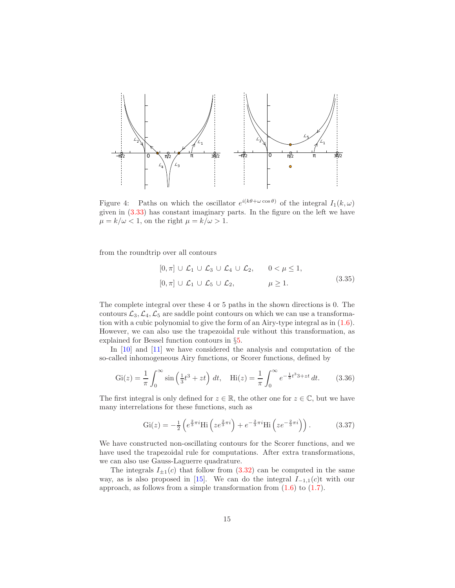

<span id="page-14-0"></span>Figure 4: Paths on which the oscillator  $e^{i(k\theta + \omega \cos \theta)}$  of the integral  $I_1(k,\omega)$ given in [\(3.33\)](#page-13-1) has constant imaginary parts. In the figure on the left we have  $\mu = k/\omega < 1$ , on the right  $\mu = k/\omega > 1$ .

from the roundtrip over all contours

$$
[0, \pi] \cup \mathcal{L}_1 \cup \mathcal{L}_3 \cup \mathcal{L}_4 \cup \mathcal{L}_2, \qquad 0 < \mu \le 1,
$$
  

$$
[0, \pi] \cup \mathcal{L}_1 \cup \mathcal{L}_5 \cup \mathcal{L}_2, \qquad \mu \ge 1.
$$
 (3.35)

The complete integral over these 4 or 5 paths in the shown directions is 0. The contours  $\mathcal{L}_3, \mathcal{L}_4, \mathcal{L}_5$  are saddle point contours on which we can use a transformation with a cubic polynomial to give the form of an Airy-type integral as in [\(1.6\)](#page-2-2). However, we can also use the trapezoidal rule without this transformation, as explained for Bessel function contours in §[5.](#page-19-0)

In  $[10]$  and  $[11]$  we have considered the analysis and computation of the so-called inhomogeneous Airy functions, or Scorer functions, defined by

$$
Gi(z) = \frac{1}{\pi} \int_0^\infty \sin\left(\frac{1}{3}t^3 + zt\right) dt, \quad Hi(z) = \frac{1}{\pi} \int_0^\infty e^{-\frac{1}{3}t^3 + zt} dt. \quad (3.36)
$$

The first integral is only defined for  $z \in \mathbb{R}$ , the other one for  $z \in \mathbb{C}$ , but we have many interrelations for these functions, such as

$$
Gi(z) = -\frac{1}{2} \left( e^{\frac{2}{3}\pi i} Hi \left( z e^{\frac{2}{3}\pi i} \right) + e^{-\frac{2}{3}\pi i} Hi \left( z e^{-\frac{2}{3}\pi i} \right) \right).
$$
 (3.37)

We have constructed non-oscillating contours for the Scorer functions, and we have used the trapezoidal rule for computations. After extra transformations, we can also use Gauss-Laguerre quadrature.

The integrals  $I_{\pm 1}(c)$  that follow from [\(3.32\)](#page-12-1) can be computed in the same way, as is also proposed in [\[15\]](#page-27-3). We can do the integral  $I_{-1,1}(c)$ t with our approach, as follows from a simple transformation from  $(1.6)$  to  $(1.7)$ .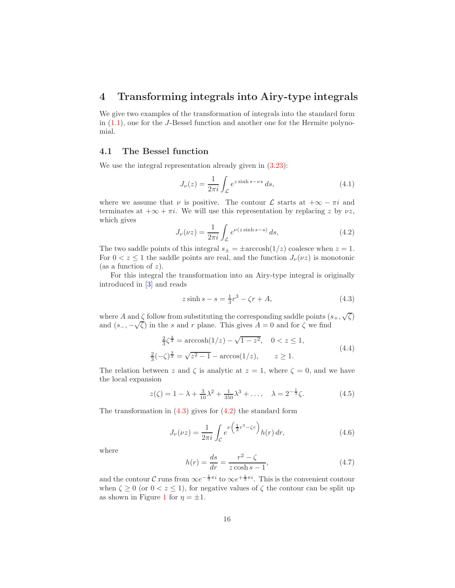# 4 Transforming integrals into Airy-type integrals

We give two examples of the transformation of integrals into the standard form in  $(1.1)$ , one for the J-Bessel function and another one for the Hermite polynomial.

#### <span id="page-15-0"></span>4.1 The Bessel function

We use the integral representation already given in  $(3.23)$ :

$$
J_{\nu}(z) = \frac{1}{2\pi i} \int_{\mathcal{L}} e^{z \sinh s - \nu s} ds,
$$
\n(4.1)

where we assume that  $\nu$  is positive. The contour  $\mathcal L$  starts at  $+\infty - \pi i$  and terminates at  $+\infty + \pi i$ . We will use this representation by replacing z by  $\nu z$ , which gives

<span id="page-15-2"></span>
$$
J_{\nu}(\nu z) = \frac{1}{2\pi i} \int_{\mathcal{L}} e^{\nu(z \sinh s - s)} ds,
$$
\n(4.2)

The two saddle points of this integral  $s_{\pm} = \pm \arccosh(1/z)$  coalesce when  $z = 1$ . For  $0 < z \leq 1$  the saddle points are real, and the function  $J_{\nu}(\nu z)$  is monotonic (as a function of  $z$ ).

For this integral the transformation into an Airy-type integral is originally introduced in [\[3\]](#page-26-3) and reads

<span id="page-15-1"></span>
$$
z\sinh s - s = \frac{1}{3}r^3 - \zeta r + A,\tag{4.3}
$$

where A and  $\zeta$  follow from substituting the corresponding saddle points  $(s_+, \sqrt{\zeta})$ and  $(s_-, -\sqrt{\zeta})$  in the s and r plane. This gives  $A = 0$  and for  $\zeta$  we find

<span id="page-15-4"></span>
$$
\frac{2}{3}\zeta^{\frac{3}{2}} = \arccosh(1/z) - \sqrt{1 - z^2}, \quad 0 < z \le 1,
$$
  

$$
\frac{2}{3}(-\zeta)^{\frac{3}{2}} = \sqrt{z^2 - 1} - \arccos(1/z), \qquad z \ge 1.
$$
 (4.4)

The relation between z and  $\zeta$  is analytic at  $z = 1$ , where  $\zeta = 0$ , and we have the local expansion

<span id="page-15-6"></span>
$$
z(\zeta) = 1 - \lambda + \frac{3}{10}\lambda^2 + \frac{1}{350}\lambda^3 + \dots, \quad \lambda = 2^{-\frac{1}{3}}\zeta.
$$
 (4.5)

The transformation in  $(4.3)$  gives for  $(4.2)$  the standard form

<span id="page-15-3"></span>
$$
J_{\nu}(\nu z) = \frac{1}{2\pi i} \int_{\mathcal{C}} e^{\nu \left(\frac{1}{3}r^3 - \zeta r\right)} h(r) \, dr,\tag{4.6}
$$

where

<span id="page-15-5"></span>
$$
h(r) = \frac{ds}{dr} = \frac{r^2 - \zeta}{z \cosh s - 1},
$$
\n(4.7)

and the contour C runs from  $\infty e^{-\frac{1}{3}\pi i}$  to  $\infty e^{+\frac{1}{3}\pi i}$ . This is the convenient contour when  $\zeta \geq 0$  (or  $0 < z \leq 1$ ), for negative values of  $\zeta$  the contour can be split up as shown in Figure [1](#page-2-0) for  $\eta = \pm 1$ .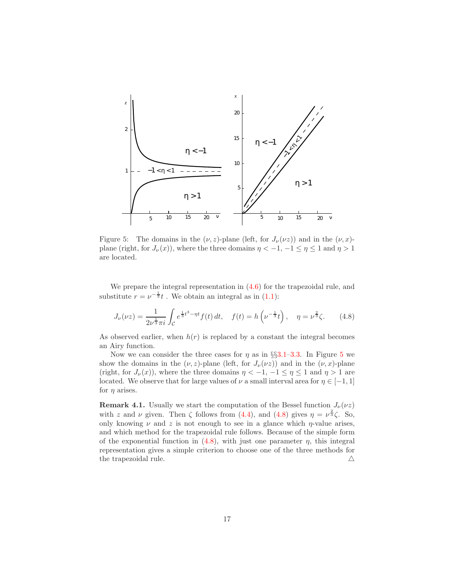

<span id="page-16-0"></span>Figure 5: The domains in the  $(\nu, z)$ -plane (left, for  $J_{\nu}(\nu z)$ ) and in the  $(\nu, x)$ plane (right, for  $J_{\nu}(x)$ ), where the three domains  $\eta < -1, -1 \leq \eta \leq 1$  and  $\eta > 1$ are located.

We prepare the integral representation in  $(4.6)$  for the trapezoidal rule, and substitute  $r = \nu^{-\frac{1}{3}}t$ . We obtain an integral as in [\(1.1\)](#page-0-0):

<span id="page-16-1"></span>
$$
J_{\nu}(\nu z) = \frac{1}{2\nu^{\frac{1}{3}}\pi i} \int_{\mathcal{C}} e^{\frac{1}{3}t^3 - \eta t} f(t) dt, \quad f(t) = h\left(\nu^{-\frac{1}{3}}t\right), \quad \eta = \nu^{\frac{2}{3}}\zeta. \tag{4.8}
$$

As observed earlier, when  $h(r)$  is replaced by a constant the integral becomes an Airy function.

Now we can consider the three cases for  $\eta$  as in §§[3.1–](#page-7-6)[3.3.](#page-11-0) In Figure [5](#page-16-0) we show the domains in the  $(\nu, z)$ -plane (left, for  $J_{\nu}(\nu z)$ ) and in the  $(\nu, x)$ -plane (right, for  $J_{\nu}(x)$ ), where the three domains  $\eta < -1, -1 \leq \eta \leq 1$  and  $\eta > 1$  are located. We observe that for large values of  $\nu$  a small interval area for  $\eta \in [-1, 1]$ for  $\eta$  arises.

**Remark 4.1.** Usually we start the computation of the Bessel function  $J_{\nu}(\nu z)$ with z and  $\nu$  given. Then  $\zeta$  follows from [\(4.4\)](#page-15-4), and [\(4.8\)](#page-16-1) gives  $\eta = \nu^{\frac{2}{3}} \zeta$ . So, only knowing  $\nu$  and z is not enough to see in a glance which  $\eta$ -value arises, and which method for the trapezoidal rule follows. Because of the simple form of the exponential function in  $(4.8)$ , with just one parameter  $\eta$ , this integral representation gives a simple criterion to choose one of the three methods for the trapezoidal rule.  $\triangle$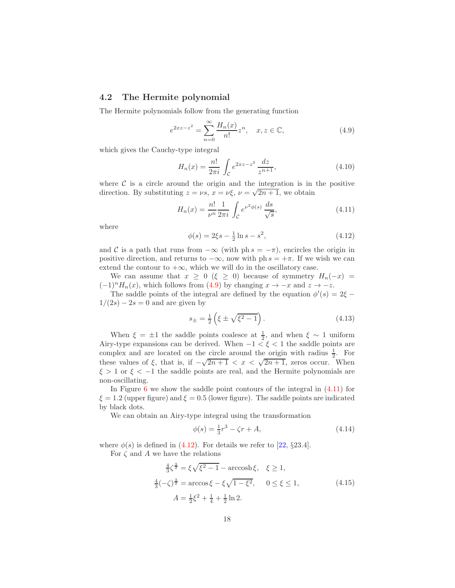#### <span id="page-17-0"></span>4.2 The Hermite polynomial

The Hermite polynomials follow from the generating function

<span id="page-17-1"></span>
$$
e^{2xz - z^2} = \sum_{n=0}^{\infty} \frac{H_n(x)}{n!} z^n, \quad x, z \in \mathbb{C},
$$
 (4.9)

which gives the Cauchy-type integral

$$
H_n(x) = \frac{n!}{2\pi i} \int_{\mathcal{C}} e^{2xz - z^2} \frac{dz}{z^{n+1}},
$$
\n(4.10)

where  $\mathcal C$  is a circle around the origin and the integration is in the positive direction. By substituting  $z = \nu s$ ,  $x = \nu \xi$ ,  $\nu = \sqrt{2n+1}$ , we obtain

<span id="page-17-2"></span>
$$
H_n(x) = \frac{n!}{\nu^n} \frac{1}{2\pi i} \int_C e^{\nu^2 \phi(s)} \frac{ds}{\sqrt{s}},
$$
\n(4.11)

where

<span id="page-17-3"></span>
$$
\phi(s) = 2\xi s - \frac{1}{2}\ln s - s^2,\tag{4.12}
$$

and C is a path that runs from  $-\infty$  (with ph  $s = -\pi$ ), encircles the origin in positive direction, and returns to  $-\infty$ , now with ph  $s = +\pi$ . If we wish we can extend the contour to  $+\infty$ , which we will do in the oscillatory case.

We can assume that  $x \geq 0$  ( $\xi \geq 0$ ) because of symmetry  $H_n(-x) =$  $(-1)^n H_n(x)$ , which follows from [\(4.9\)](#page-17-1) by changing  $x \to -x$  and  $z \to -z$ .

The saddle points of the integral are defined by the equation  $\phi'(s) = 2\xi$  $1/(2s) - 2s = 0$  and are given by

$$
s_{\pm} = \frac{1}{2} \left( \xi \pm \sqrt{\xi^2 - 1} \right). \tag{4.13}
$$

When  $\xi = \pm 1$  the saddle points coalesce at  $\frac{1}{2}$ , and when  $\xi \sim 1$  uniform Airy-type expansions can be derived. When  $-1 < \xi < 1$  the saddle points are complex and are located on the circle around the origin with radius  $\frac{1}{2}$ . For these values of  $\xi$ , that is, if  $-\sqrt{2n+1} < x < \sqrt{2n+1}$ , zeros occur. When  $\xi > 1$  or  $\xi < -1$  the saddle points are real, and the Hermite polynomials are non-oscillating.

In Figure [6](#page-18-0) we show the saddle point contours of the integral in  $(4.11)$  for  $\xi = 1.2$  (upper figure) and  $\xi = 0.5$  (lower figure). The saddle points are indicated by black dots.

We can obtain an Airy-type integral using the transformation

<span id="page-17-4"></span>
$$
\phi(s) = \frac{1}{3}r^3 - \zeta r + A,\tag{4.14}
$$

where  $\phi(s)$  is defined in [\(4.12\)](#page-17-3). For details we refer to [\[22,](#page-28-0) §23.4].

For  $\zeta$  and A we have the relations

$$
\frac{4}{3}\zeta^{\frac{3}{2}} = \xi\sqrt{\xi^2 - 1} - \operatorname{arccosh}\xi, \quad \xi \ge 1,
$$
  

$$
\frac{4}{3}(-\zeta)^{\frac{3}{2}} = \operatorname{arccos}\xi - \xi\sqrt{1 - \xi^2}, \quad 0 \le \xi \le 1,
$$
  

$$
A = \frac{1}{2}\xi^2 + \frac{1}{4} + \frac{1}{2}\ln 2.
$$
 (4.15)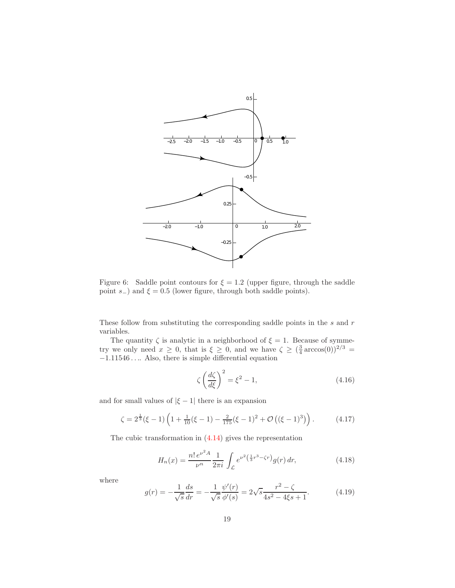

<span id="page-18-0"></span>Figure 6: Saddle point contours for  $\xi = 1.2$  (upper figure, through the saddle point s−) and  $\xi = 0.5$  (lower figure, through both saddle points).

These follow from substituting the corresponding saddle points in the  $s$  and  $r$ variables.

The quantity  $\zeta$  is analytic in a neighborhood of  $\xi = 1$ . Because of symmetry we only need  $x \geq 0$ , that is  $\xi \geq 0$ , and we have  $\zeta \geq (\frac{3}{4} \arccos(0))^{2/3}$  =  $-1.11546\ldots$  . Also, there is simple differential equation

<span id="page-18-1"></span>
$$
\zeta \left(\frac{d\zeta}{d\xi}\right)^2 = \xi^2 - 1,\tag{4.16}
$$

and for small values of  $|\xi - 1|$  there is an expansion

$$
\zeta = 2^{\frac{1}{3}}(\xi - 1)\left(1 + \frac{1}{10}(\xi - 1) - \frac{2}{175}(\xi - 1)^2 + \mathcal{O}\left((\xi - 1)^3\right)\right). \tag{4.17}
$$

The cubic transformation in [\(4.14\)](#page-17-4) gives the representation

$$
H_n(x) = \frac{n! \, e^{\nu^2 A}}{\nu^n} \frac{1}{2\pi i} \int_{\mathcal{L}} e^{\nu^2 \left(\frac{1}{3}r^3 - \zeta r\right)} g(r) \, dr,\tag{4.18}
$$

where

$$
g(r) = -\frac{1}{\sqrt{s}} \frac{ds}{dr} = -\frac{1}{\sqrt{s}} \frac{\psi'(r)}{\phi'(s)} = 2\sqrt{s} \frac{r^2 - \zeta}{4s^2 - 4\xi s + 1}.
$$
 (4.19)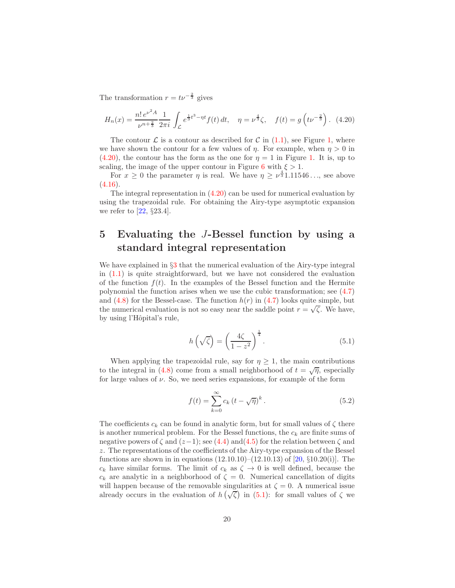The transformation  $r = tv^{-\frac{2}{3}}$  gives

<span id="page-19-1"></span>
$$
H_n(x) = \frac{n! \, e^{\nu^2 A}}{\nu^{n + \frac{2}{3}}} \frac{1}{2\pi i} \int_{\mathcal{L}} e^{\frac{1}{3}t^3 - \eta t} f(t) \, dt, \quad \eta = \nu^{\frac{4}{3}} \zeta, \quad f(t) = g\left(t \nu^{-\frac{2}{3}}\right). \tag{4.20}
$$

The contour  $\mathcal L$  is a contour as described for C in [\(1.1\)](#page-0-0), see Figure [1,](#page-2-0) where we have shown the contour for a few values of  $\eta$ . For example, when  $\eta > 0$  in  $(4.20)$ , the contour has the form as the one for  $\eta = 1$  in Figure [1.](#page-2-0) It is, up to scaling, the image of the upper contour in Figure [6](#page-18-0) with  $\xi > 1$ .

For  $x \geq 0$  the parameter  $\eta$  is real. We have  $\eta \geq \nu^{\frac{4}{3}}1.11546...$ , see above  $(4.16).$  $(4.16).$ 

The integral representation in  $(4.20)$  can be used for numerical evaluation by using the trapezoidal rule. For obtaining the Airy-type asymptotic expansion we refer to  $[22, §23.4]$ .

# <span id="page-19-0"></span>5 Evaluating the J-Bessel function by using a standard integral representation

We have explained in  $\S 3$  $\S 3$  that the numerical evaluation of the Airy-type integral in [\(1.1\)](#page-0-0) is quite straightforward, but we have not considered the evaluation of the function  $f(t)$ . In the examples of the Bessel function and the Hermite polynomial the function arises when we use the cubic transformation; see [\(4.7\)](#page-15-5) and  $(4.8)$  for the Bessel-case. The function  $h(r)$  in  $(4.7)$  looks quite simple, but the numerical evaluation is not so easy near the saddle point  $r = \sqrt{\zeta}$ . We have, by using l'Hôpital's rule,

<span id="page-19-2"></span>
$$
h\left(\sqrt{\zeta}\right) = \left(\frac{4\zeta}{1-z^2}\right)^{\frac{1}{4}}.\tag{5.1}
$$

When applying the trapezoidal rule, say for  $\eta \geq 1$ , the main contributions to the integral in [\(4.8\)](#page-16-1) come from a small neighborhood of  $t = \sqrt{\eta}$ , especially for large values of  $\nu$ . So, we need series expansions, for example of the form

<span id="page-19-3"></span>
$$
f(t) = \sum_{k=0}^{\infty} c_k (t - \sqrt{\eta})^k.
$$
 (5.2)

The coefficients  $c_k$  can be found in analytic form, but for small values of  $\zeta$  there is another numerical problem. For the Bessel functions, the  $c_k$  are finite sums of negative powers of  $\zeta$  and  $(z-1)$ ; see [\(4.4\)](#page-15-4) and [\(4.5\)](#page-15-6) for the relation between  $\zeta$  and z. The representations of the coefficients of the Airy-type expansion of the Bessel functions are shown in in equations  $(12.10.10)$ – $(12.10.13)$  of  $[20, §10.20(i)]$ . The  $c_k$  have similar forms. The limit of  $c_k$  as  $\zeta \to 0$  is well defined, because the  $c_k$  are analytic in a neighborhood of  $\zeta = 0$ . Numerical cancellation of digits will happen because of the removable singularities at  $\zeta = 0$ . A numerical issue already occurs in the evaluation of  $h(\sqrt{\zeta})$  in [\(5.1\)](#page-19-2): for small values of  $\zeta$  we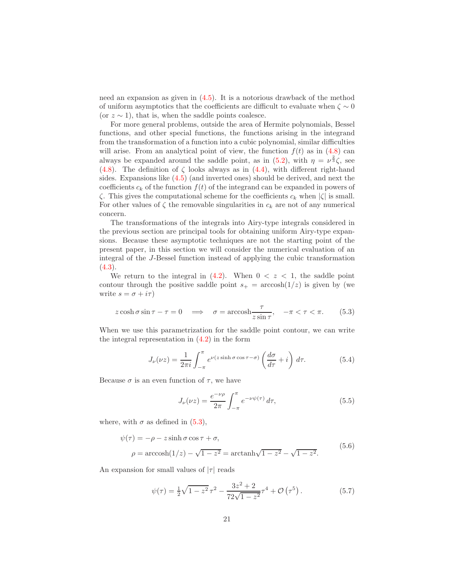need an expansion as given in [\(4.5\)](#page-15-6). It is a notorious drawback of the method of uniform asymptotics that the coefficients are difficult to evaluate when  $\zeta \sim 0$ (or  $z \sim 1$ ), that is, when the saddle points coalesce.

For more general problems, outside the area of Hermite polynomials, Bessel functions, and other special functions, the functions arising in the integrand from the transformation of a function into a cubic polynomial, similar difficulties will arise. From an analytical point of view, the function  $f(t)$  as in [\(4.8\)](#page-16-1) can always be expanded around the saddle point, as in [\(5.2\)](#page-19-3), with  $\eta = \nu^{\frac{2}{3}} \zeta$ , see [\(4.8\)](#page-16-1). The definition of  $\zeta$  looks always as in [\(4.4\)](#page-15-4), with different right-hand sides. Expansions like [\(4.5\)](#page-15-6) (and inverted ones) should be derived, and next the coefficients  $c_k$  of the function  $f(t)$  of the integrand can be expanded in powers of  $\zeta$ . This gives the computational scheme for the coefficients  $c_k$  when  $|\zeta|$  is small. For other values of  $\zeta$  the removable singularities in  $c_k$  are not of any numerical concern.

The transformations of the integrals into Airy-type integrals considered in the previous section are principal tools for obtaining uniform Airy-type expansions. Because these asymptotic techniques are not the starting point of the present paper, in this section we will consider the numerical evaluation of an integral of the J-Bessel function instead of applying the cubic transformation  $(4.3).$  $(4.3).$ 

We return to the integral in  $(4.2)$ . When  $0 < z < 1$ , the saddle point contour through the positive saddle point  $s_+$  = arccosh $(1/z)$  is given by (we write  $s = \sigma + i\tau$ )

<span id="page-20-1"></span>
$$
z\cosh\sigma\sin\tau - \tau = 0 \quad \Longrightarrow \quad \sigma = \operatorname{arccosh}\frac{\tau}{z\sin\tau}, \quad -\pi < \tau < \pi. \tag{5.3}
$$

When we use this parametrization for the saddle point contour, we can write the integral representation in [\(4.2\)](#page-15-2) in the form

$$
J_{\nu}(\nu z) = \frac{1}{2\pi i} \int_{-\pi}^{\pi} e^{\nu(z \sinh \sigma \cos \tau - \sigma)} \left(\frac{d\sigma}{d\tau} + i\right) d\tau.
$$
 (5.4)

Because  $\sigma$  is an even function of  $\tau$ , we have

<span id="page-20-0"></span>
$$
J_{\nu}(\nu z) = \frac{e^{-\nu \rho}}{2\pi} \int_{-\pi}^{\pi} e^{-\nu \psi(\tau)} d\tau,
$$
 (5.5)

where, with  $\sigma$  as defined in [\(5.3\)](#page-20-1),

<span id="page-20-2"></span>
$$
\psi(\tau) = -\rho - z \sinh \sigma \cos \tau + \sigma,
$$
  
\n
$$
\rho = \operatorname{arccosh}(1/z) - \sqrt{1 - z^2} = \operatorname{arctanh}\sqrt{1 - z^2} - \sqrt{1 - z^2}.
$$
\n(5.6)

An expansion for small values of  $|\tau|$  reads

$$
\psi(\tau) = \frac{1}{2}\sqrt{1 - z^2} \,\tau^2 - \frac{3z^2 + 2}{72\sqrt{1 - z^2}} \tau^4 + \mathcal{O}\left(\tau^5\right). \tag{5.7}
$$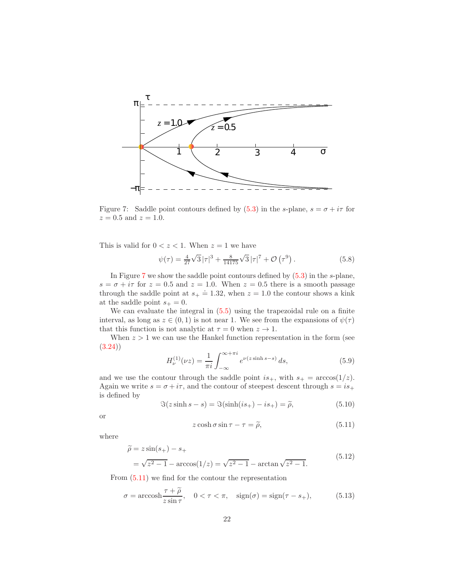

<span id="page-21-0"></span>Figure 7: Saddle point contours defined by  $(5.3)$  in the s-plane,  $s = \sigma + i\tau$  for  $z = 0.5$  and  $z = 1.0$ .

This is valid for  $0 < z < 1$ . When  $z = 1$  we have

$$
\psi(\tau) = \frac{4}{27}\sqrt{3}|\tau|^3 + \frac{8}{14175}\sqrt{3}|\tau|^7 + \mathcal{O}(\tau^9). \tag{5.8}
$$

In Figure [7](#page-21-0) we show the saddle point contours defined by [\(5.3\)](#page-20-1) in the s-plane,  $s = \sigma + i\tau$  for  $z = 0.5$  and  $z = 1.0$ . When  $z = 0.5$  there is a smooth passage through the saddle point at  $s_+ \doteq 1.32$ , when  $z = 1.0$  the contour shows a kink at the saddle point  $s_+ = 0$ .

We can evaluate the integral in [\(5.5\)](#page-20-0) using the trapezoidal rule on a finite interval, as long as  $z \in (0,1)$  is not near 1. We see from the expansions of  $\psi(\tau)$ that this function is not analytic at  $\tau = 0$  when  $z \to 1$ .

When  $z > 1$  we can use the Hankel function representation in the form (see [\(3.24\)](#page-11-1))

$$
H_{\nu}^{(1)}(\nu z) = \frac{1}{\pi i} \int_{-\infty}^{\infty + \pi i} e^{\nu(z \sinh s - s)} ds,
$$
 (5.9)

and we use the contour through the saddle point  $is_+$ , with  $s_+ = \arccos(1/z)$ . Again we write  $s = \sigma + i\tau$ , and the contour of steepest descent through  $s = is_+$ is defined by

$$
\Im(z\sinh s - s) = \Im(\sinh(is_+) - is_+) = \widetilde{\rho},\tag{5.10}
$$

or

<span id="page-21-1"></span>
$$
z\cosh\sigma\sin\tau - \tau = \tilde{\rho},\tag{5.11}
$$

where

<span id="page-21-3"></span>
$$
\widetilde{\rho} = z \sin(s_+) - s_+ \n= \sqrt{z^2 - 1} - \arccos(1/z) = \sqrt{z^2 - 1} - \arctan\sqrt{z^2 - 1}.
$$
\n(5.12)

From [\(5.11\)](#page-21-1) we find for the contour the representation

<span id="page-21-2"></span>
$$
\sigma = \operatorname{arccosh} \frac{\tau + \widetilde{\rho}}{z \sin \tau}, \quad 0 < \tau < \pi, \quad \operatorname{sign}(\sigma) = \operatorname{sign}(\tau - s_+), \tag{5.13}
$$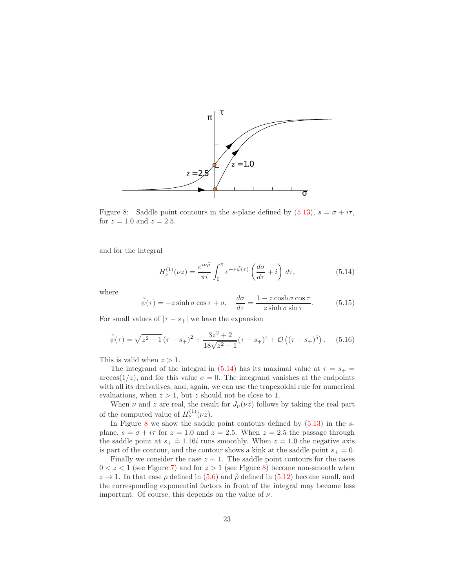

<span id="page-22-1"></span>Figure 8: Saddle point contours in the s-plane defined by  $(5.13)$ ,  $s = \sigma + i\tau$ , for  $z = 1.0$  and  $z = 2.5$ .

and for the integral

<span id="page-22-0"></span>
$$
H_{\nu}^{(1)}(\nu z) = \frac{e^{i\nu\widetilde{\rho}}}{\pi i} \int_0^{\pi} e^{-\nu\widetilde{\psi}(\tau)} \left(\frac{d\sigma}{d\tau} + i\right) d\tau,
$$
 (5.14)

where

$$
\widetilde{\psi}(\tau) = -z \sinh \sigma \cos \tau + \sigma, \quad \frac{d\sigma}{d\tau} = \frac{1 - z \cosh \sigma \cos \tau}{z \sinh \sigma \sin \tau}.
$$
 (5.15)

For small values of  $|\tau - s_+|$  we have the expansion

$$
\widetilde{\psi}(\tau) = \sqrt{z^2 - 1} \left(\tau - s_+\right)^2 + \frac{3z^2 + 2}{18\sqrt{z^2 - 1}} \left(\tau - s_+\right)^4 + \mathcal{O}\left((\tau - s_+\right)^5\right). \tag{5.16}
$$

This is valid when  $z > 1$ .

The integrand of the integral in [\(5.14\)](#page-22-0) has its maximal value at  $\tau = s_+ =$  $arccos(1/z)$ , and for this value  $\sigma = 0$ . The integrand vanishes at the endpoints with all its derivatives, and, again, we can use the trapezoidal rule for numerical evaluations, when  $z > 1$ , but z should not be close to 1.

When  $\nu$  and z are real, the result for  $J_{\nu}(\nu z)$  follows by taking the real part of the computed value of  $H_{\nu}^{(1)}(\nu z)$ .

In Figure [8](#page-22-1) we show the saddle point contours defined by  $(5.13)$  in the splane,  $s = \sigma + i\tau$  for  $z = 1.0$  and  $z = 2.5$ . When  $z = 2.5$  the passage through the saddle point at  $s_+ \doteq 1.16i$  runs smoothly. When  $z = 1.0$  the negative axis is part of the contour, and the contour shows a kink at the saddle point  $s_+ = 0$ .

Finally we consider the case  $z \sim 1$ . The saddle point contours for the cases  $0 < z < 1$  (see Figure [7\)](#page-21-0) and for  $z > 1$  (see Figure [8\)](#page-22-1) become non-smooth when  $z \rightarrow 1$ . In that case  $\rho$  defined in [\(5.6\)](#page-20-2) and  $\tilde{\rho}$  defined in [\(5.12\)](#page-21-3) become small, and the corresponding exponential factors in front of the integral may become less important. Of course, this depends on the value of  $\nu$ .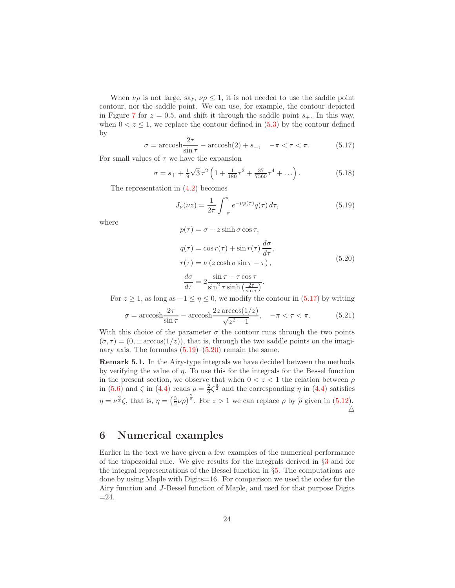When  $\nu \rho$  is not large, say,  $\nu \rho \leq 1$ , it is not needed to use the saddle point contour, nor the saddle point. We can use, for example, the contour depicted in Figure [7](#page-21-0) for  $z = 0.5$ , and shift it through the saddle point  $s_{+}$ . In this way, when  $0 < z \leq 1$ , we replace the contour defined in  $(5.3)$  by the contour defined by

<span id="page-23-0"></span>
$$
\sigma = \operatorname{arccosh} \frac{2\tau}{\sin \tau} - \operatorname{arccosh}(2) + s_+, \quad -\pi < \tau < \pi. \tag{5.17}
$$

For small values of  $\tau$  we have the expansion

$$
\sigma = s_+ + \frac{1}{9}\sqrt{3}\,\tau^2 \left(1 + \frac{1}{180}\tau^2 + \frac{37}{7560}\tau^4 + \ldots\right). \tag{5.18}
$$

The representation in [\(4.2\)](#page-15-2) becomes

<span id="page-23-1"></span>
$$
J_{\nu}(\nu z) = \frac{1}{2\pi} \int_{-\pi}^{\pi} e^{-\nu p(\tau)} q(\tau) d\tau,
$$
\n(5.19)

where

$$
p(\tau) = \sigma - z \sinh \sigma \cos \tau,
$$

<span id="page-23-2"></span>
$$
q(\tau) = \cos r(\tau) + \sin r(\tau) \frac{d\sigma}{d\tau},
$$
  
\n
$$
r(\tau) = \nu (z \cosh \sigma \sin \tau - \tau),
$$
  
\n
$$
\frac{d\sigma}{d\tau} = 2 \frac{\sin \tau - \tau \cos \tau}{\sin^2 \tau \sinh \left(\frac{2\tau}{\sin \tau}\right)}.
$$
\n(5.20)

For 
$$
z \ge 1
$$
, as long as  $-1 \le \eta \le 0$ , we modify the contour in (5.17) by writing

$$
\sigma = \operatorname{arccosh} \frac{2\tau}{\sin \tau} - \operatorname{arccosh} \frac{2z \operatorname{arccos}(1/z)}{\sqrt{z^2 - 1}}, \quad -\pi < \tau < \pi. \tag{5.21}
$$

With this choice of the parameter  $\sigma$  the contour runs through the two points  $(\sigma, \tau) = (0, \pm \arccos(1/z))$ , that is, through the two saddle points on the imaginary axis. The formulas  $(5.19)$ – $(5.20)$  remain the same.

<span id="page-23-3"></span>Remark 5.1. In the Airy-type integrals we have decided between the methods by verifying the value of  $\eta$ . To use this for the integrals for the Bessel function in the present section, we observe that when  $0 < z < 1$  the relation between  $\rho$ in [\(5.6\)](#page-20-2) and  $\zeta$  in [\(4.4\)](#page-15-4) reads  $\rho = \frac{2}{3}\zeta^{\frac{3}{2}}$  and the corresponding  $\eta$  in (4.4) satisfies  $\eta = \nu^{\frac{2}{3}}\zeta$ , that is,  $\eta = \left(\frac{3}{2}\nu\rho\right)^{\frac{2}{3}}$ . For  $z > 1$  we can replace  $\rho$  by  $\widetilde{\rho}$  given in  $(5.12)$ .  $\triangle$ 

### 6 Numerical examples

Earlier in the text we have given a few examples of the numerical performance of the trapezoidal rule. We give results for the integrals derived in §[3](#page-6-1) and for the integral representations of the Bessel function in  $\S5$ . The computations are done by using Maple with Digits=16. For comparison we used the codes for the Airy function and J-Bessel function of Maple, and used for that purpose Digits  $=24.$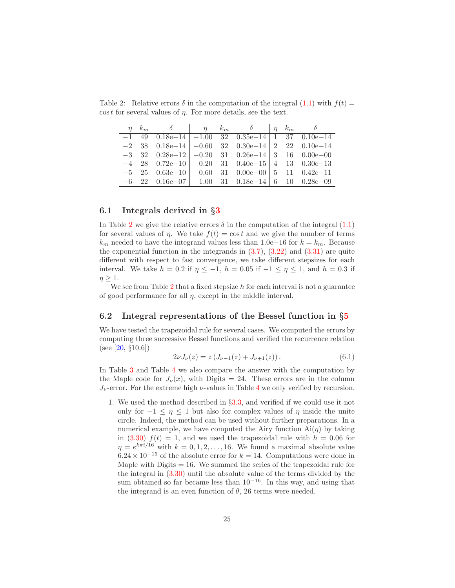<span id="page-24-0"></span>

|  |  | $\eta \hspace{.1cm} k_m \hspace{.1cm} \delta \hspace{.1cm} \eta \hspace{.1cm} k_m \hspace{.1cm} \delta \hspace{.1cm} \eta \hspace{.1cm} k_m \hspace{.1cm} \delta$ |  |  |
|--|--|-------------------------------------------------------------------------------------------------------------------------------------------------------------------|--|--|
|  |  | $-1$ 49 0.18e $-14$ $-1.00$ 32 0.35e $-14$ 1 37 0.10e $-14$                                                                                                       |  |  |
|  |  | $-2$ 38 0.18e $-14$ $-0.60$ 32 0.30e $-14$ 2 22 0.10e $-14$                                                                                                       |  |  |
|  |  | $-3$ 32 0.28e $-12$ $-0.20$ 31 0.26e $-14$ 3 16 0.00e $-00$                                                                                                       |  |  |
|  |  | $-4$ 28 0.72e $-10$ 0.20 31 0.40e $-15$ 4 13 0.30e $-13$                                                                                                          |  |  |
|  |  | $-5$ 25 0.63e $-10$ 0.60 31 0.00e $-00$ 5 11 0.42e $-11$                                                                                                          |  |  |
|  |  | $-6$ 22 0.16e $-07$ 1.00 31 0.18e $-14$ 6 10 0.28e $-09$                                                                                                          |  |  |

Table 2: Relative errors  $\delta$  in the computation of the integral  $(1.1)$  with  $f(t)$  =  $\cos t$  for several values of  $\eta$ . For more details, see the text.

#### 6.1 Integrals derived in §[3](#page-6-1)

In Table [2](#page-24-0) we give the relative errors  $\delta$  in the computation of the integral  $(1.1)$ for several values of  $\eta$ . We take  $f(t) = \cos t$  and we give the number of terms  $k<sub>m</sub>$  needed to have the integrand values less than 1.0e−16 for  $k = k<sub>m</sub>$ . Because the exponential function in the integrands in  $(3.7)$ ,  $(3.22)$  and  $(3.31)$  are quite different with respect to fast convergence, we take different stepsizes for each interval. We take  $h = 0.2$  if  $\eta \le -1$ ,  $h = 0.05$  if  $-1 \le \eta \le 1$ , and  $h = 0.3$  if  $\eta \geq 1$ .

We see from Table [2](#page-24-0) that a fixed stepsize  $h$  for each interval is not a guarantee of good performance for all  $\eta$ , except in the middle interval.

#### 6.2 Integral representations of the Bessel function in §[5](#page-19-0)

We have tested the trapezoidal rule for several cases. We computed the errors by computing three successive Bessel functions and verified the recurrence relation (see [ $20, \{10.6\}$ )

$$
2\nu J_{\nu}(z) = z \left( J_{\nu-1}(z) + J_{\nu+1}(z) \right). \tag{6.1}
$$

In Table [3](#page-25-0) and Table [4](#page-25-1) we also compare the answer with the computation by the Maple code for  $J_{\nu}(x)$ , with Digits = 24. These errors are in the column  $J_{\nu}$ -error. For the extreme high  $\nu$ -values in Table [4](#page-25-1) we only verified by recursion.

1. We used the method described in §[3.3,](#page-11-0) and verified if we could use it not only for  $-1 \leq \eta \leq 1$  but also for complex values of  $\eta$  inside the unite circle. Indeed, the method can be used without further preparations. In a numerical example, we have computed the Airy function  $Ai(\eta)$  by taking in [\(3.30\)](#page-12-2)  $f(t) = 1$ , and we used the trapezoidal rule with  $h = 0.06$  for  $\eta = e^{k\pi i/16}$  with  $k = 0, 1, 2, \ldots, 16$ . We found a maximal absolute value  $6.24 \times 10^{-15}$  of the absolute error for  $k = 14$ . Computations were done in Maple with Digits  $= 16$ . We summed the series of the trapezoidal rule for the integral in  $(3.30)$  until the absolute value of the terms divided by the sum obtained so far became less than  $10^{-16}$ . In this way, and using that the integrand is an even function of  $\theta$ , 26 terms were needed.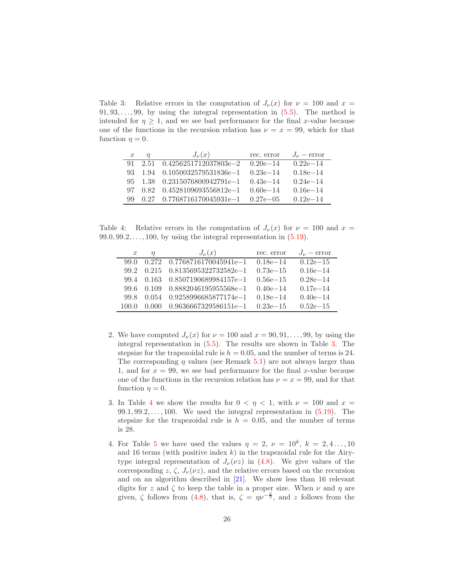<span id="page-25-0"></span>Table 3: Relative errors in the computation of  $J_{\nu}(x)$  for  $\nu = 100$  and  $x =$  $91, 93, \ldots, 99$ , by using the integral representation in  $(5.5)$ . The method is intended for  $\eta \geq 1$ , and we see bad performance for the final x-value because one of the functions in the recursion relation has  $\nu = x = 99$ , which for that function  $\eta = 0$ .

| $\boldsymbol{x}$ | $J_{\nu}(x)$                       | rec. error    | $J_{\nu}$ – error |
|------------------|------------------------------------|---------------|-------------------|
| 91.              | $2.51 \quad 0.4256251712037803e-2$ | $0.20e - 14$  | $0.22e-14$        |
| 93.              | $1.94$ $0.1050032579531836e-1$     | $0.23e - 14$  | $0.18e-14$        |
| 95.              | $1.38 \quad 0.2315076800942791e-1$ | $0.43e - 14$  | $0.24e - 14$      |
| 97               | $0.82 \quad 0.4528109693556812e-1$ | $0.60e - 14$  | $0.16e - 14$      |
| 99.              | $0.27$ $0.7768716170045931e-1$     | $0.27e - 0.5$ | $0.12e-14$        |

Table 4: Relative errors in the computation of  $J_{\nu}(x)$  for  $\nu = 100$  and  $x =$  $99.0, 99.2, \ldots, 100$ , by using the integral representation in  $(5.19)$ .

<span id="page-25-1"></span>

| $\boldsymbol{x}$ | $\eta$ | $J_{\nu}(x)$                         | rec. error   | $J_{\nu}$ – error |
|------------------|--------|--------------------------------------|--------------|-------------------|
| 99 O             |        | $0.272 \quad 0.7768716170045941e-1$  | $0.18e - 14$ | $0.12e-15$        |
| 99.2             |        | $0.215$ $0.8135695322732582e-1$      | $0.73e - 15$ | $0.16e - 14$      |
|                  |        | 99.4 $0.163$ $0.8507190689984157e-1$ | $0.56e - 15$ | $0.28e - 14$      |
| 99.6             | 0.109  | $0.8882046195955568e-1$              | $0.40e - 14$ | $0.17e - 14$      |
| 99 S             | 0.054  | 0.9258996685877174e-1                | $0.18e - 14$ | $0.40e - 14$      |
| 100.0            |        | $0.9636667329586151e-1$              | $0.23e - 15$ | $0.52e - 15$      |

- 2. We have computed  $J_{\nu}(x)$  for  $\nu = 100$  and  $x = 90, 91, \ldots, 99$ , by using the integral representation in [\(5.5\)](#page-20-0). The results are shown in Table [3.](#page-25-0) The stepsize for the trapezoidal rule is  $h = 0.05$ , and the number of terms is 24. The corresponding  $\eta$  values (see Remark [5.1\)](#page-23-3) are not always larger than 1, and for  $x = 99$ , we see bad performance for the final x-value because one of the functions in the recursion relation has  $\nu = x = 99$ , and for that function  $\eta = 0$ .
- 3. In Table [4](#page-25-1) we show the results for  $0 < \eta < 1$ , with  $\nu = 100$  and  $x =$  $99.1, 99.2, \ldots, 100$ . We used the integral representation in  $(5.19)$ . The stepsize for the trapezoidal rule is  $h = 0.05$ , and the number of terms is 28.
- 4. For Table [5](#page-26-4) we have used the values  $\eta = 2, \nu = 10^k, k = 2, 4, ..., 10$ and 16 terms (with positive index  $k$ ) in the trapezoidal rule for the Airytype integral representation of  $J_{\nu}(\nu z)$  in [\(4.8\)](#page-16-1). We give values of the corresponding z,  $\zeta$ ,  $J_{\nu}(\nu z)$ , and the relative errors based on the recursion and on an algorithm described in [\[21\]](#page-28-2). We show less than 16 relevant digits for z and  $\zeta$  to keep the table in a proper size. When  $\nu$  and  $\eta$  are given,  $\zeta$  follows from [\(4.8\)](#page-16-1), that is,  $\zeta = \eta \nu^{-\frac{2}{3}}$ , and z follows from the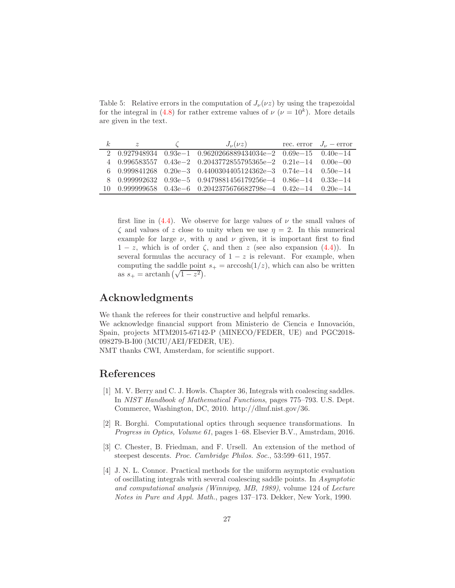<span id="page-26-4"></span>Table 5: Relative errors in the computation of  $J_{\nu}(\nu z)$  by using the trapezoidal for the integral in [\(4.8\)](#page-16-1) for rather extreme values of  $\nu$  ( $\nu = 10<sup>k</sup>$ ). More details are given in the text.

| $\kappa$ | $\tilde{z}$ | $J_{\nu}(\nu z)$                                                                          | rec. error $J_{\nu}$ – error |
|----------|-------------|-------------------------------------------------------------------------------------------|------------------------------|
|          |             | $20.9279489340.93e-10.9620266889434034e-20.69e-150.40e-14$                                |                              |
|          |             | $40.9965835570.43e-20.2043772855795365e-20.21e-140.00e-00$                                |                              |
|          |             | $6$ 0.999841268 0.20e-3 0.4400304405124362e-3 0.74e-14 0.50e-14                           |                              |
|          |             | $8\quad 0.999992632\quad 0.93e-5\quad 0.9479881456179256e-4\quad 0.86e-14\quad 0.33e-14$  |                              |
|          |             | $10\quad 0.999999658\quad 0.43e-6\quad 0.2042375676682798e-4\quad 0.42e-14\quad 0.20e-14$ |                              |

first line in [\(4.4\)](#page-15-4). We observe for large values of  $\nu$  the small values of  $\zeta$  and values of z close to unity when we use  $\eta = 2$ . In this numerical example for large  $\nu$ , with  $\eta$  and  $\nu$  given, it is important first to find  $1 - z$ , which is of order  $\zeta$ , and then z (see also expansion [\(4.4\)](#page-15-4)). In several formulas the accuracy of  $1 - z$  is relevant. For example, when computing the saddle point  $s_+ = \arccosh(1/z)$ , which can also be written as  $s_+ = \arctanh(\sqrt{1-z^2}).$ 

# Acknowledgments

We thank the referees for their constructive and helpful remarks.

We acknowledge financial support from Ministerio de Ciencia e Innovación, Spain, projects MTM2015-67142-P (MINECO/FEDER, UE) and PGC2018- 098279-B-I00 (MCIU/AEI/FEDER, UE).

NMT thanks CWI, Amsterdam, for scientific support.

# <span id="page-26-2"></span>References

- [1] M. V. Berry and C. J. Howls. Chapter 36, Integrals with coalescing saddles. In NIST Handbook of Mathematical Functions, pages 775–793. U.S. Dept. Commerce, Washington, DC, 2010. http://dlmf.nist.gov/36.
- <span id="page-26-0"></span>[2] R. Borghi. Computational optics through sequence transformations. In Progress in Optics, Volume 61, pages 1–68. Elsevier B.V., Amstrdam, 2016.
- <span id="page-26-3"></span>[3] C. Chester, B. Friedman, and F. Ursell. An extension of the method of steepest descents. Proc. Cambridge Philos. Soc., 53:599–611, 1957.
- <span id="page-26-1"></span>[4] J. N. L. Connor. Practical methods for the uniform asymptotic evaluation of oscillating integrals with several coalescing saddle points. In Asymptotic and computational analysis (Winnipeg, MB, 1989), volume 124 of Lecture Notes in Pure and Appl. Math., pages 137–173. Dekker, New York, 1990.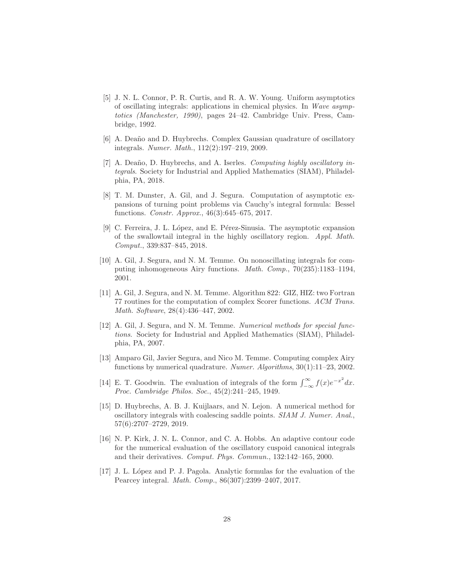- <span id="page-27-5"></span>[5] J. N. L. Connor, P. R. Curtis, and R. A. W. Young. Uniform asymptotics of oscillating integrals: applications in chemical physics. In Wave asymptotics (Manchester, 1990), pages 24–42. Cambridge Univ. Press, Cambridge, 1992.
- <span id="page-27-4"></span>[6] A. Deaño and D. Huybrechs. Complex Gaussian quadrature of oscillatory integrals. Numer. Math., 112(2):197–219, 2009.
- <span id="page-27-6"></span>[7] A. Deaño, D. Huybrechs, and A. Iserles. Computing highly oscillatory integrals. Society for Industrial and Applied Mathematics (SIAM), Philadelphia, PA, 2018.
- <span id="page-27-1"></span>[8] T. M. Dunster, A. Gil, and J. Segura. Computation of asymptotic expansions of turning point problems via Cauchy's integral formula: Bessel functions. Constr. Approx., 46(3):645–675, 2017.
- <span id="page-27-7"></span>[9] C. Ferreira, J. L. López, and E. Pérez-Sinusia. The asymptotic expansion of the swallowtail integral in the highly oscillatory region. Appl. Math. Comput., 339:837–845, 2018.
- <span id="page-27-11"></span>[10] A. Gil, J. Segura, and N. M. Temme. On nonoscillating integrals for computing inhomogeneous Airy functions. Math. Comp., 70(235):1183–1194, 2001.
- <span id="page-27-12"></span>[11] A. Gil, J. Segura, and N. M. Temme. Algorithm 822: GIZ, HIZ: two Fortran 77 routines for the computation of complex Scorer functions. ACM Trans. Math. Software, 28(4):436–447, 2002.
- <span id="page-27-0"></span>[12] A. Gil, J. Segura, and N. M. Temme. Numerical methods for special functions. Society for Industrial and Applied Mathematics (SIAM), Philadelphia, PA, 2007.
- <span id="page-27-2"></span>[13] Amparo Gil, Javier Segura, and Nico M. Temme. Computing complex Airy functions by numerical quadrature. Numer. Algorithms, 30(1):11–23, 2002.
- <span id="page-27-10"></span>[14] E. T. Goodwin. The evaluation of integrals of the form  $\int_{-\infty}^{\infty} f(x)e^{-x^2} dx$ . Proc. Cambridge Philos. Soc., 45(2):241–245, 1949.
- <span id="page-27-3"></span>[15] D. Huybrechs, A. B. J. Kuijlaars, and N. Lejon. A numerical method for oscillatory integrals with coalescing saddle points. SIAM J. Numer. Anal., 57(6):2707–2729, 2019.
- <span id="page-27-8"></span>[16] N. P. Kirk, J. N. L. Connor, and C. A. Hobbs. An adaptive contour code for the numerical evaluation of the oscillatory cuspoid canonical integrals and their derivatives. Comput. Phys. Commun., 132:142–165, 2000.
- <span id="page-27-9"></span>[17] J. L. L´opez and P. J. Pagola. Analytic formulas for the evaluation of the Pearcey integral. Math. Comp., 86(307):2399–2407, 2017.